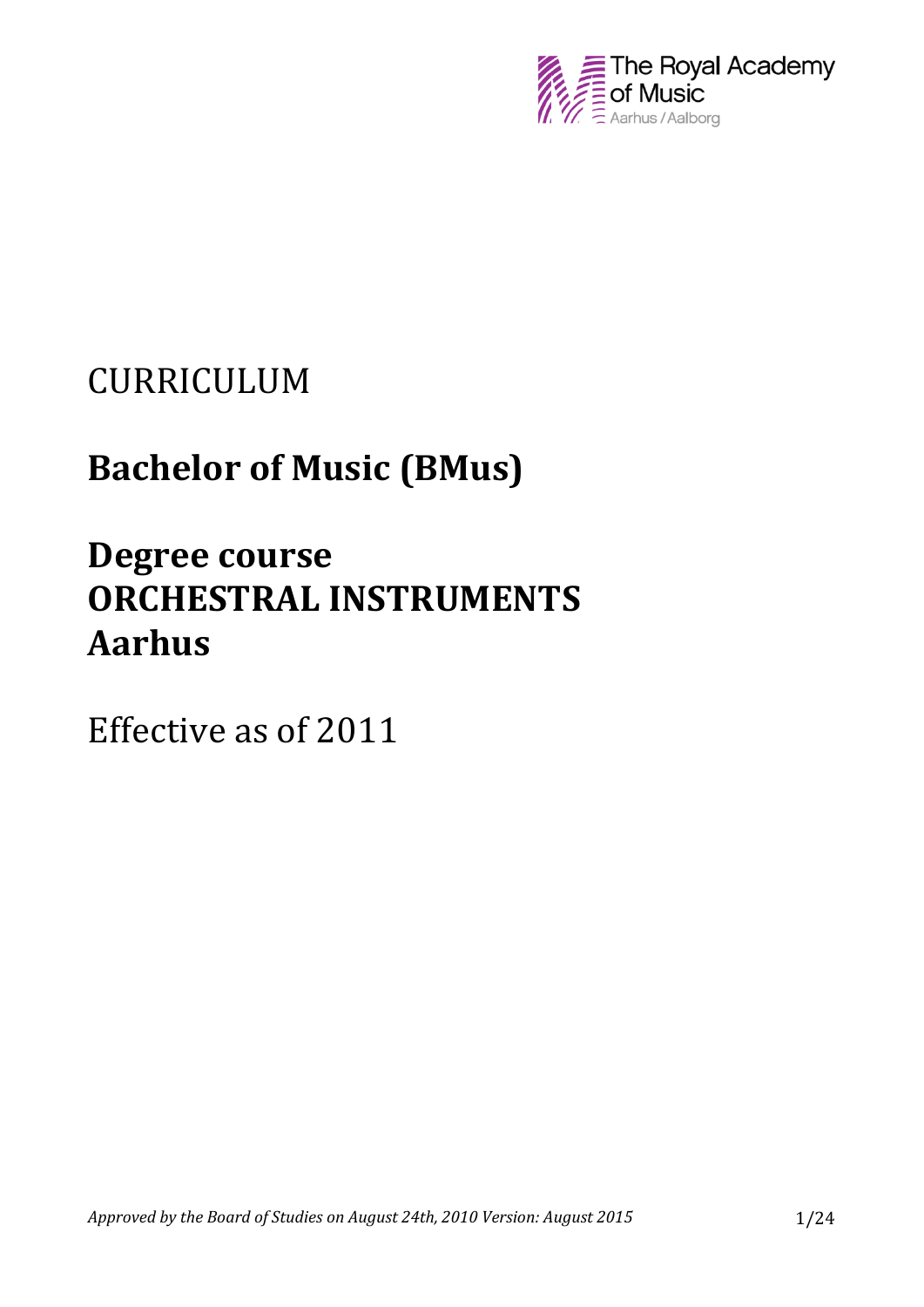

# CURRICULUM

# **Bachelor of Music (BMus)**

# **Degree course ORCHESTRAL INSTRUMENTS Aarhus**

Effective as of 2011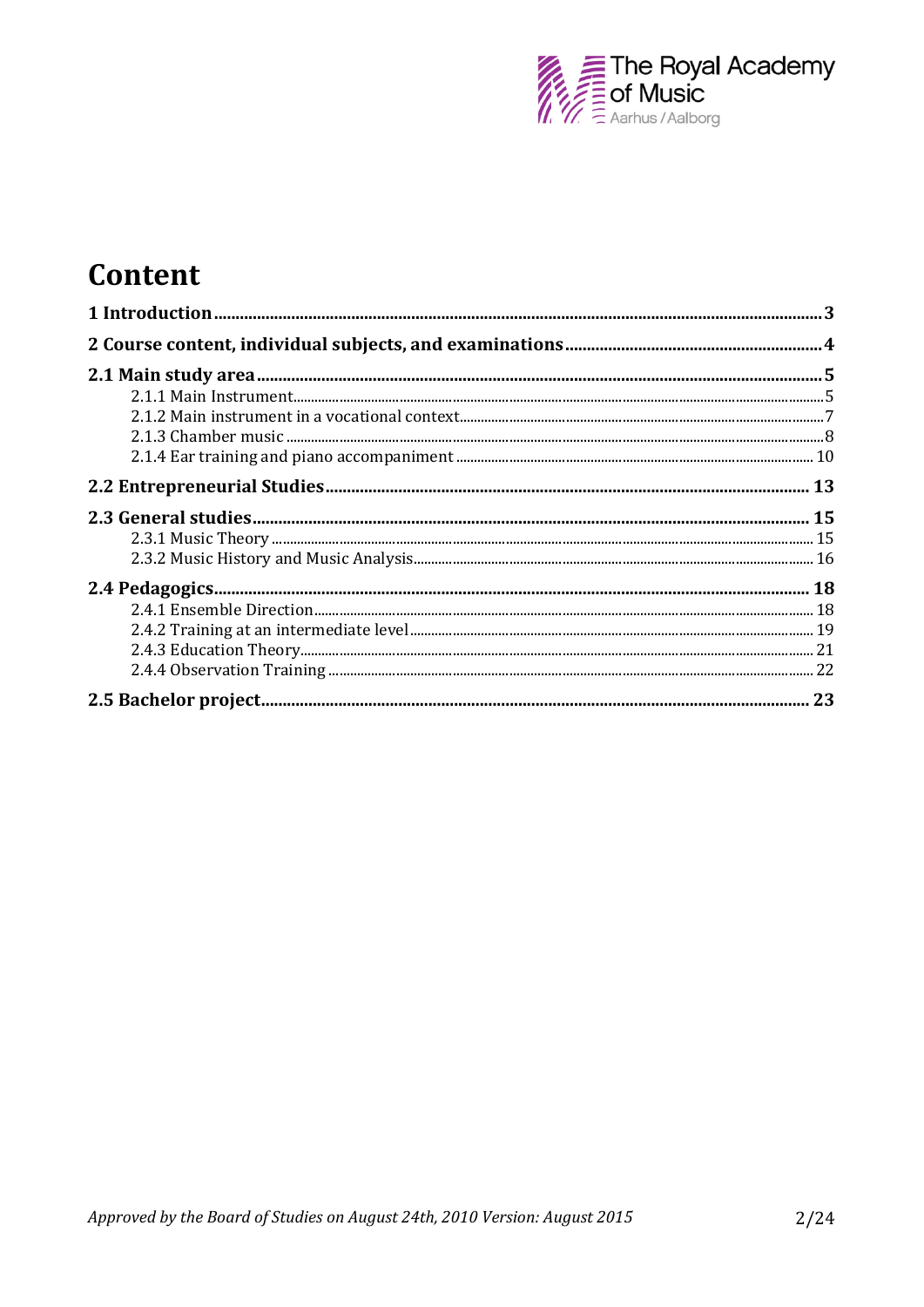

## Content

| <u>2.1.1 Main msu unchu mimimumi mamamana manang mga kasang mga kasang mga kasang mga kasang mga kasang mga kasang m</u> |  |
|--------------------------------------------------------------------------------------------------------------------------|--|
|                                                                                                                          |  |
|                                                                                                                          |  |
|                                                                                                                          |  |
|                                                                                                                          |  |
|                                                                                                                          |  |
|                                                                                                                          |  |
|                                                                                                                          |  |
|                                                                                                                          |  |
|                                                                                                                          |  |
|                                                                                                                          |  |
|                                                                                                                          |  |
|                                                                                                                          |  |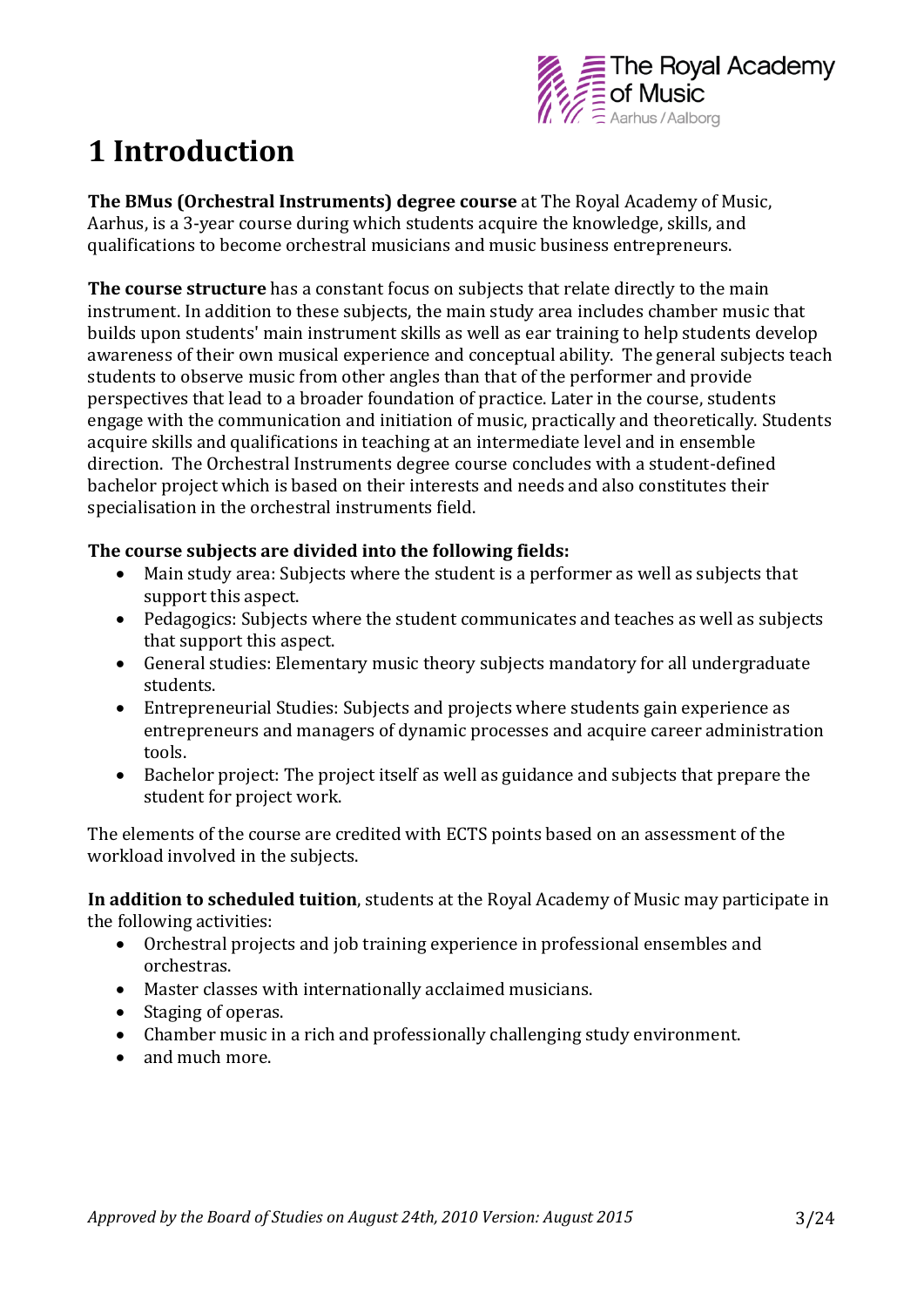

## **1 Introduction**

**The BMus (Orchestral Instruments) degree course** at The Royal Academy of Music, Aarhus, is a 3-year course during which students acquire the knowledge, skills, and qualifications to become orchestral musicians and music business entrepreneurs.

**The course structure** has a constant focus on subjects that relate directly to the main instrument. In addition to these subjects, the main study area includes chamber music that builds upon students' main instrument skills as well as ear training to help students develop awareness of their own musical experience and conceptual ability. The general subjects teach students to observe music from other angles than that of the performer and provide perspectives that lead to a broader foundation of practice. Later in the course, students engage with the communication and initiation of music, practically and theoretically. Students acquire skills and qualifications in teaching at an intermediate level and in ensemble direction. The Orchestral Instruments degree course concludes with a student-defined bachelor project which is based on their interests and needs and also constitutes their specialisation in the orchestral instruments field.

#### **The course subjects are divided into the following fields:**

- Main study area: Subjects where the student is a performer as well as subjects that support this aspect.
- Pedagogics: Subjects where the student communicates and teaches as well as subjects that support this aspect.
- General studies: Elementary music theory subjects mandatory for all undergraduate students.
- Entrepreneurial Studies: Subjects and projects where students gain experience as entrepreneurs and managers of dynamic processes and acquire career administration tools.
- Bachelor project: The project itself as well as guidance and subjects that prepare the student for project work.

The elements of the course are credited with ECTS points based on an assessment of the workload involved in the subjects.

**In addition to scheduled tuition**, students at the Royal Academy of Music may participate in the following activities:

- Orchestral projects and job training experience in professional ensembles and orchestras.
- Master classes with internationally acclaimed musicians.
- Staging of operas.
- Chamber music in a rich and professionally challenging study environment.
- and much more.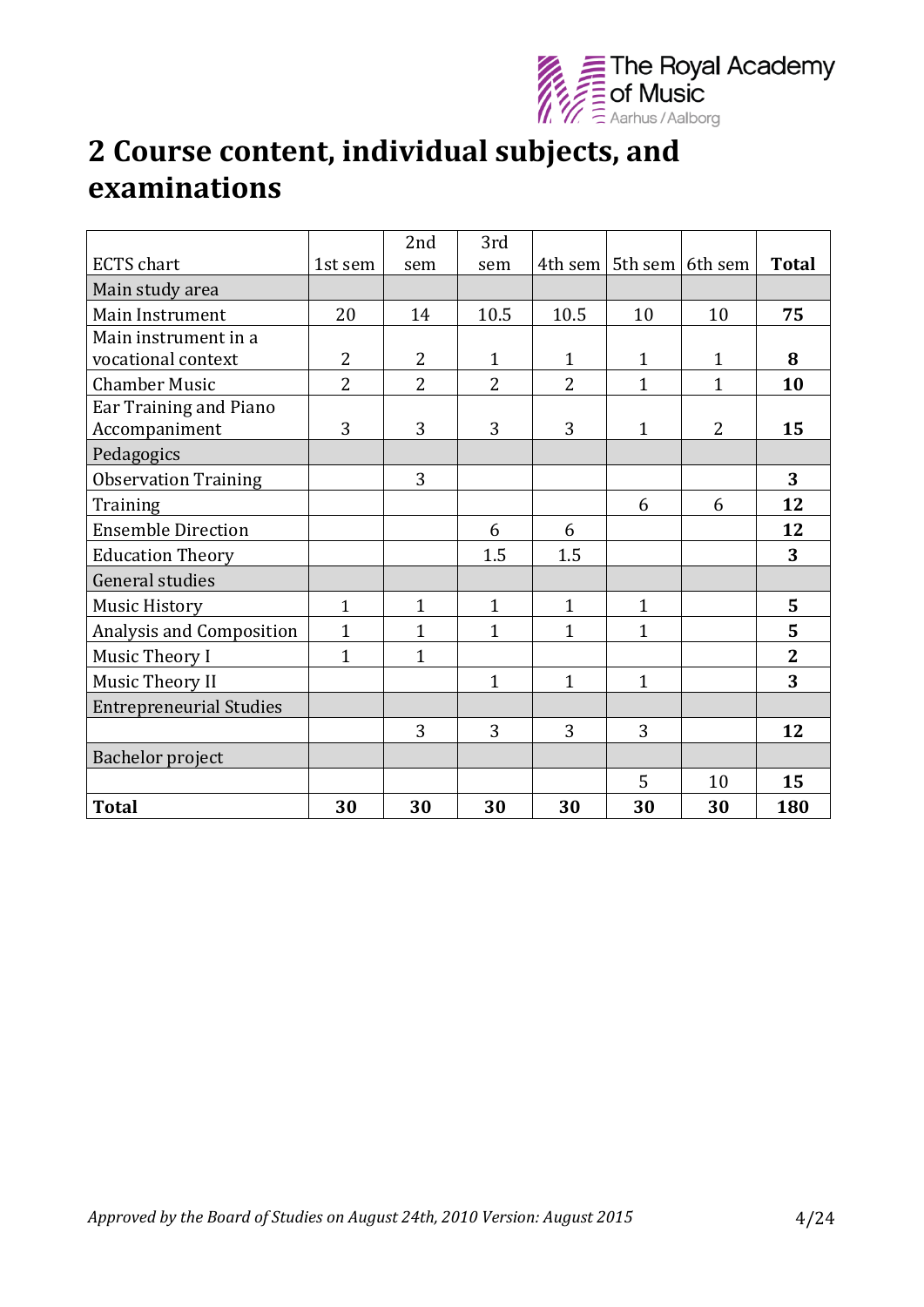

## **2 Course content, individual subjects, and examinations**

|                                |                | 2nd            | 3rd            |                |                             |                |                |
|--------------------------------|----------------|----------------|----------------|----------------|-----------------------------|----------------|----------------|
| <b>ECTS</b> chart              | 1st sem        | sem            | sem            |                | 4th sem   5th sem   6th sem |                | <b>Total</b>   |
| Main study area                |                |                |                |                |                             |                |                |
| Main Instrument                | 20             | 14             | 10.5           | 10.5           | 10                          | 10             | 75             |
| Main instrument in a           |                |                |                |                |                             |                |                |
| vocational context             | $\overline{2}$ | $\overline{2}$ | $\mathbf{1}$   | $\mathbf{1}$   | $\mathbf{1}$                | $\mathbf{1}$   | 8              |
| <b>Chamber Music</b>           | $\overline{2}$ | $\overline{2}$ | $\overline{2}$ | $\overline{2}$ | $\mathbf{1}$                | 1              | 10             |
| Ear Training and Piano         |                |                |                |                |                             |                |                |
| Accompaniment                  | 3              | 3              | 3              | 3              | $\mathbf{1}$                | $\overline{2}$ | 15             |
| Pedagogics                     |                |                |                |                |                             |                |                |
| <b>Observation Training</b>    |                | 3              |                |                |                             |                | 3              |
| Training                       |                |                |                |                | 6                           | 6              | 12             |
| <b>Ensemble Direction</b>      |                |                | 6              | 6              |                             |                | 12             |
| <b>Education Theory</b>        |                |                | 1.5            | 1.5            |                             |                | 3              |
| <b>General studies</b>         |                |                |                |                |                             |                |                |
| <b>Music History</b>           | $\mathbf{1}$   | $\overline{1}$ | $\mathbf{1}$   | $\mathbf{1}$   | $\mathbf{1}$                |                | 5              |
| Analysis and Composition       | $\mathbf{1}$   | 1              | $\overline{1}$ | $\mathbf{1}$   | 1                           |                | 5              |
| Music Theory I                 | $\overline{1}$ | $\overline{1}$ |                |                |                             |                | $\overline{2}$ |
| Music Theory II                |                |                | $\mathbf{1}$   | $\overline{1}$ | $\mathbf 1$                 |                | 3              |
| <b>Entrepreneurial Studies</b> |                |                |                |                |                             |                |                |
|                                |                | 3              | 3              | 3              | 3                           |                | 12             |
| Bachelor project               |                |                |                |                |                             |                |                |
|                                |                |                |                |                | 5                           | 10             | 15             |
| <b>Total</b>                   | 30             | 30             | 30             | 30             | 30                          | 30             | 180            |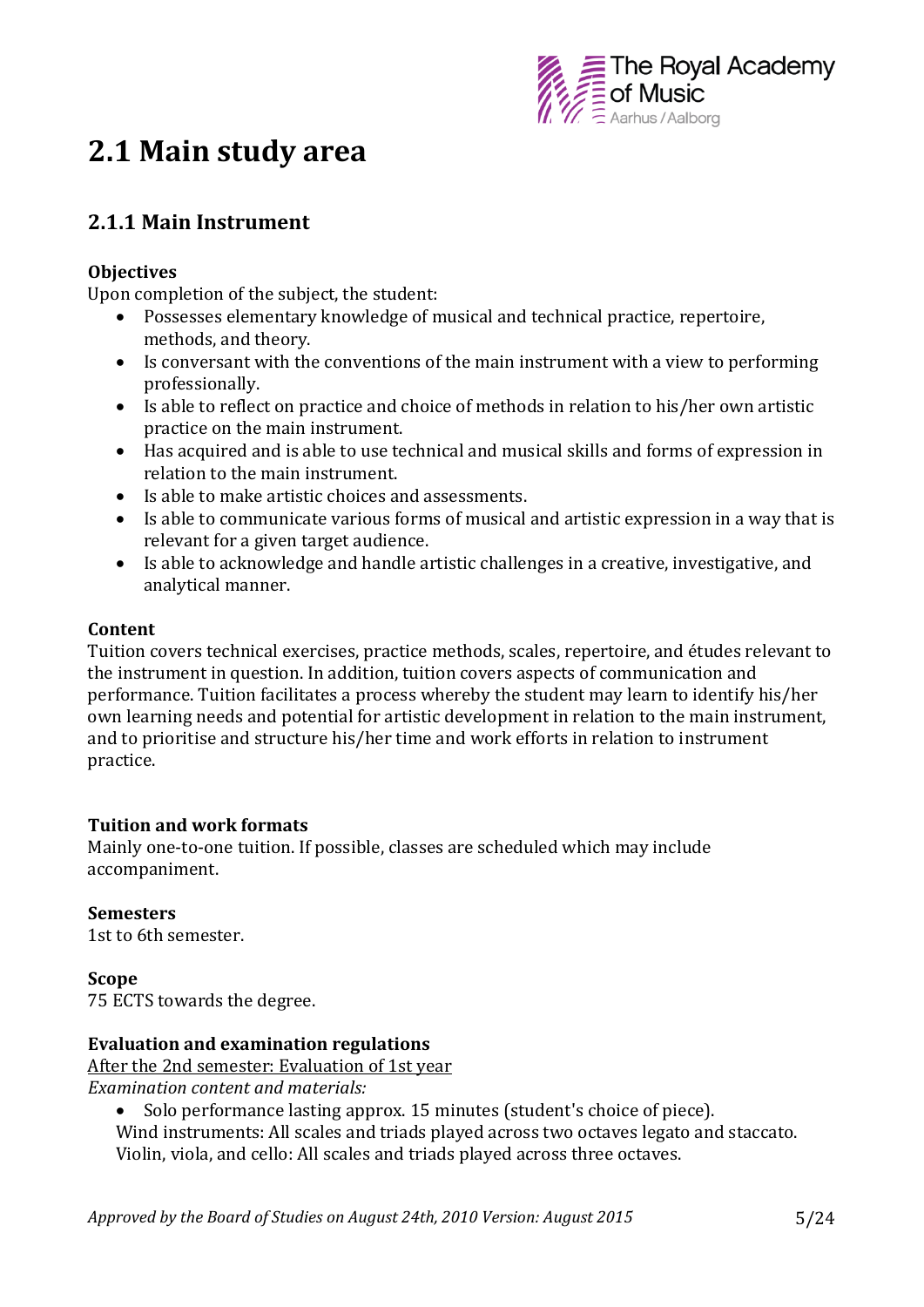

## **2.1 Main study area**

### **2.1.1 Main Instrument**

#### **Objectives**

Upon completion of the subject, the student:

- Possesses elementary knowledge of musical and technical practice, repertoire, methods, and theory.
- Is conversant with the conventions of the main instrument with a view to performing professionally.
- Is able to reflect on practice and choice of methods in relation to his/her own artistic practice on the main instrument.
- Has acquired and is able to use technical and musical skills and forms of expression in relation to the main instrument.
- Is able to make artistic choices and assessments.
- Is able to communicate various forms of musical and artistic expression in a way that is relevant for a given target audience.
- Is able to acknowledge and handle artistic challenges in a creative, investigative, and analytical manner.

#### **Content**

Tuition covers technical exercises, practice methods, scales, repertoire, and études relevant to the instrument in question. In addition, tuition covers aspects of communication and performance. Tuition facilitates a process whereby the student may learn to identify his/her own learning needs and potential for artistic development in relation to the main instrument, and to prioritise and structure his/her time and work efforts in relation to instrument practice.

#### **Tuition and work formats**

Mainly one-to-one tuition. If possible, classes are scheduled which may include accompaniment.

**Semesters** 1st to 6th semester.

**Scope** 75 ECTS towards the degree.

#### **Evaluation and examination regulations**

After the 2nd semester: Evaluation of 1st year *Examination content and materials:*

- Solo performance lasting approx. 15 minutes (student's choice of piece).
- Wind instruments: All scales and triads played across two octaves legato and staccato.

Violin, viola, and cello: All scales and triads played across three octaves.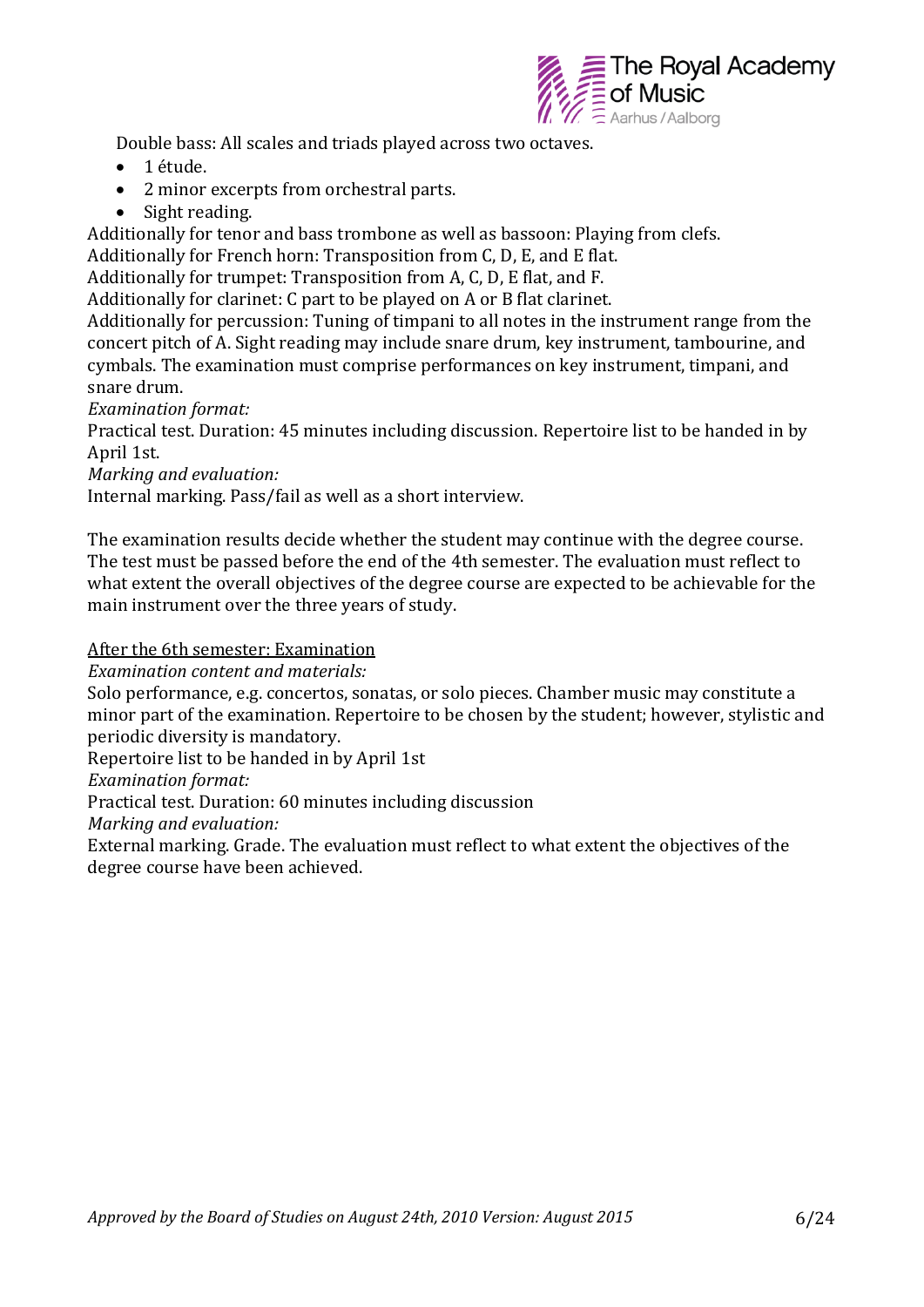

Double bass: All scales and triads played across two octaves.

- 1 étude.
- 2 minor excerpts from orchestral parts.
- Sight reading.

Additionally for tenor and bass trombone as well as bassoon: Playing from clefs.

Additionally for French horn: Transposition from C, D, E, and E flat.

Additionally for trumpet: Transposition from A, C, D, E flat, and F.

Additionally for clarinet: C part to be played on A or B flat clarinet.

Additionally for percussion: Tuning of timpani to all notes in the instrument range from the concert pitch of A. Sight reading may include snare drum, key instrument, tambourine, and cymbals. The examination must comprise performances on key instrument, timpani, and snare drum.

*Examination format:* 

Practical test. Duration: 45 minutes including discussion. Repertoire list to be handed in by April 1st.

*Marking and evaluation:* 

Internal marking. Pass/fail as well as a short interview.

The examination results decide whether the student may continue with the degree course. The test must be passed before the end of the 4th semester. The evaluation must reflect to what extent the overall objectives of the degree course are expected to be achievable for the main instrument over the three years of study.

After the 6th semester: Examination

*Examination content and materials:* 

Solo performance, e.g. concertos, sonatas, or solo pieces. Chamber music may constitute a minor part of the examination. Repertoire to be chosen by the student; however, stylistic and periodic diversity is mandatory.

Repertoire list to be handed in by April 1st

*Examination format:*

Practical test. Duration: 60 minutes including discussion

*Marking and evaluation:*

External marking. Grade. The evaluation must reflect to what extent the objectives of the degree course have been achieved.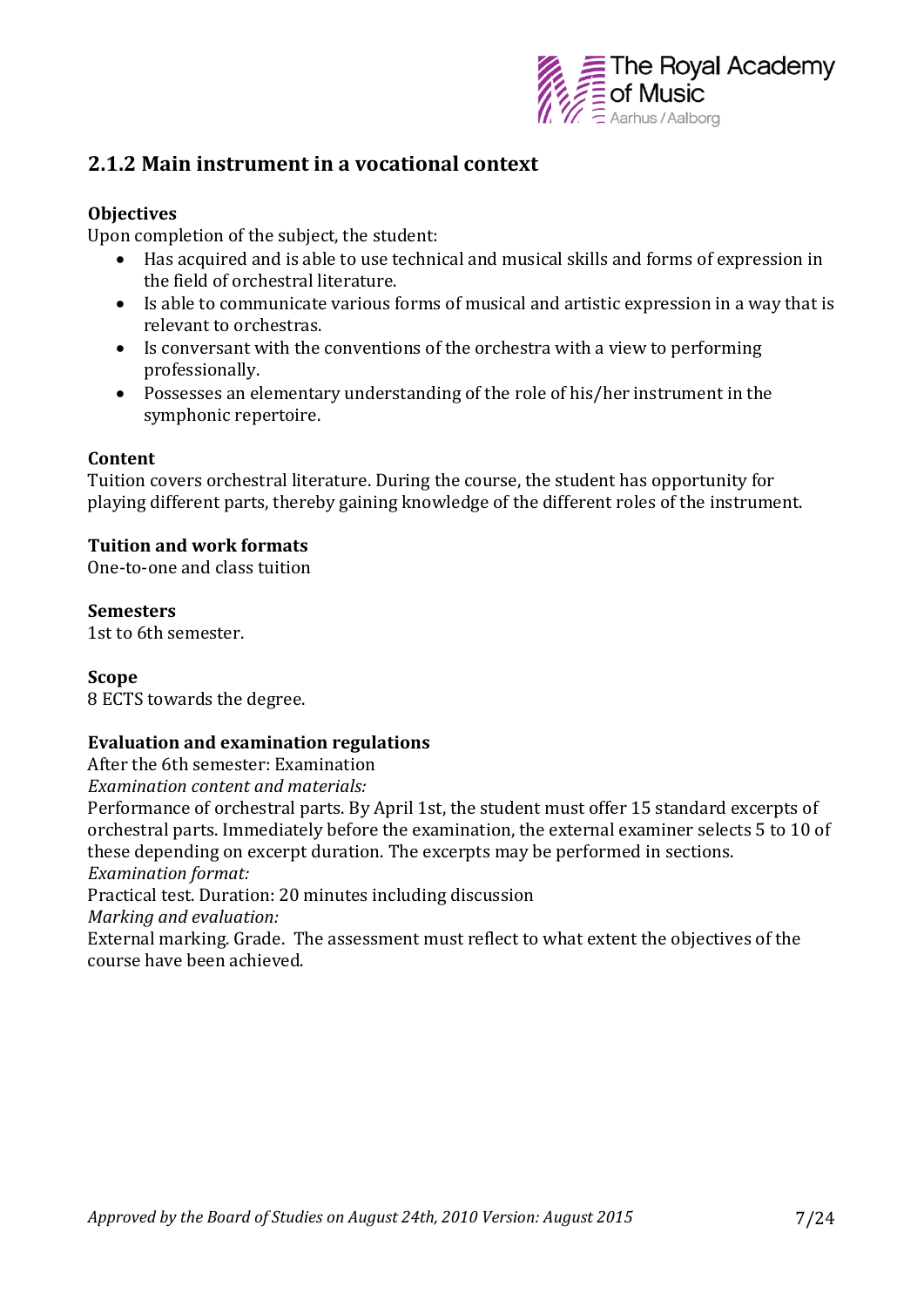

### **2.1.2 Main instrument in a vocational context**

#### **Objectives**

Upon completion of the subject, the student:

- Has acquired and is able to use technical and musical skills and forms of expression in the field of orchestral literature.
- Is able to communicate various forms of musical and artistic expression in a way that is relevant to orchestras.
- Is conversant with the conventions of the orchestra with a view to performing professionally.
- Possesses an elementary understanding of the role of his/her instrument in the symphonic repertoire.

#### **Content**

Tuition covers orchestral literature. During the course, the student has opportunity for playing different parts, thereby gaining knowledge of the different roles of the instrument.

#### **Tuition and work formats**

One-to-one and class tuition

#### **Semesters**

1st to 6th semester.

#### **Scope**

8 ECTS towards the degree.

#### **Evaluation and examination regulations**

After the 6th semester: Examination

*Examination content and materials:*

Performance of orchestral parts. By April 1st, the student must offer 15 standard excerpts of orchestral parts. Immediately before the examination, the external examiner selects 5 to 10 of these depending on excerpt duration. The excerpts may be performed in sections. *Examination format:* 

Practical test. Duration: 20 minutes including discussion

*Marking and evaluation:* 

External marking. Grade. The assessment must reflect to what extent the objectives of the course have been achieved.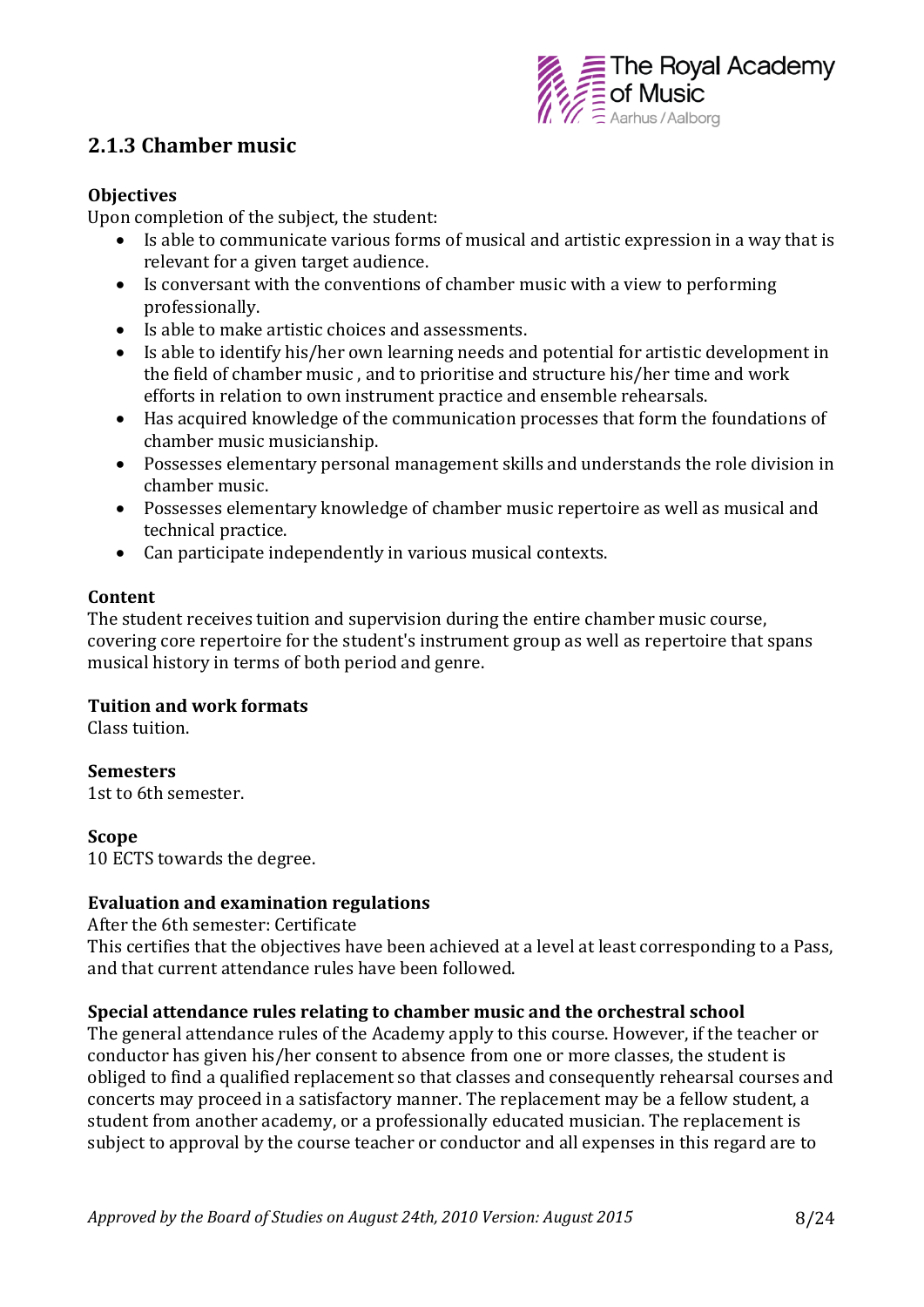

### **2.1.3 Chamber music**

#### **Objectives**

Upon completion of the subject, the student:

- Is able to communicate various forms of musical and artistic expression in a way that is relevant for a given target audience.
- Is conversant with the conventions of chamber music with a view to performing professionally.
- Is able to make artistic choices and assessments.
- Is able to identify his/her own learning needs and potential for artistic development in the field of chamber music , and to prioritise and structure his/her time and work efforts in relation to own instrument practice and ensemble rehearsals.
- Has acquired knowledge of the communication processes that form the foundations of chamber music musicianship.
- Possesses elementary personal management skills and understands the role division in chamber music.
- Possesses elementary knowledge of chamber music repertoire as well as musical and technical practice.
- Can participate independently in various musical contexts.

#### **Content**

The student receives tuition and supervision during the entire chamber music course, covering core repertoire for the student's instrument group as well as repertoire that spans musical history in terms of both period and genre.

#### **Tuition and work formats**

Class tuition.

#### **Semesters**

1st to 6th semester.

#### **Scope**

10 ECTS towards the degree.

#### **Evaluation and examination regulations**

After the 6th semester: Certificate

This certifies that the objectives have been achieved at a level at least corresponding to a Pass, and that current attendance rules have been followed.

#### **Special attendance rules relating to chamber music and the orchestral school**

The general attendance rules of the Academy apply to this course. However, if the teacher or conductor has given his/her consent to absence from one or more classes, the student is obliged to find a qualified replacement so that classes and consequently rehearsal courses and concerts may proceed in a satisfactory manner. The replacement may be a fellow student, a student from another academy, or a professionally educated musician. The replacement is subject to approval by the course teacher or conductor and all expenses in this regard are to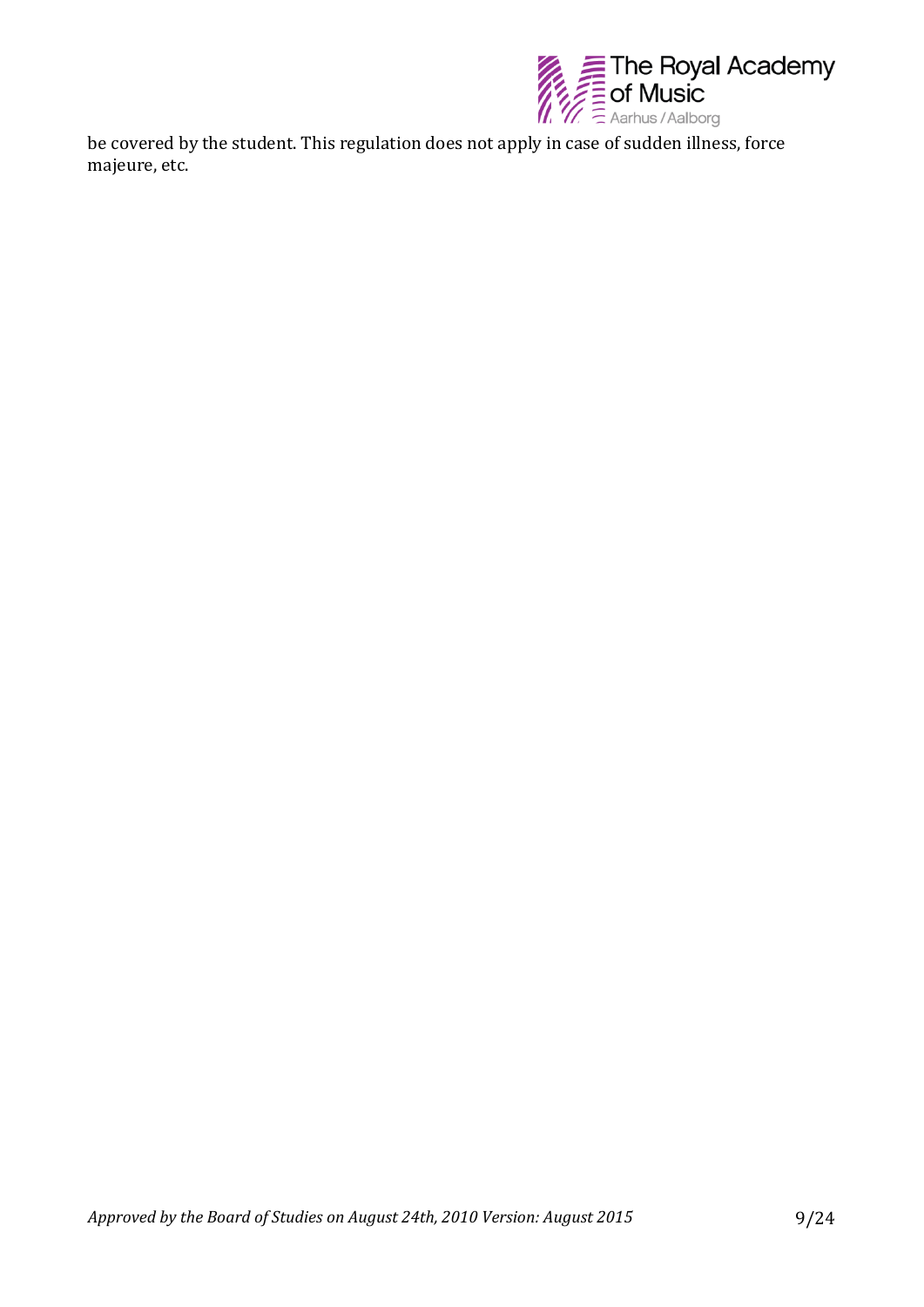

be covered by the student. This regulation does not apply in case of sudden illness, force majeure, etc.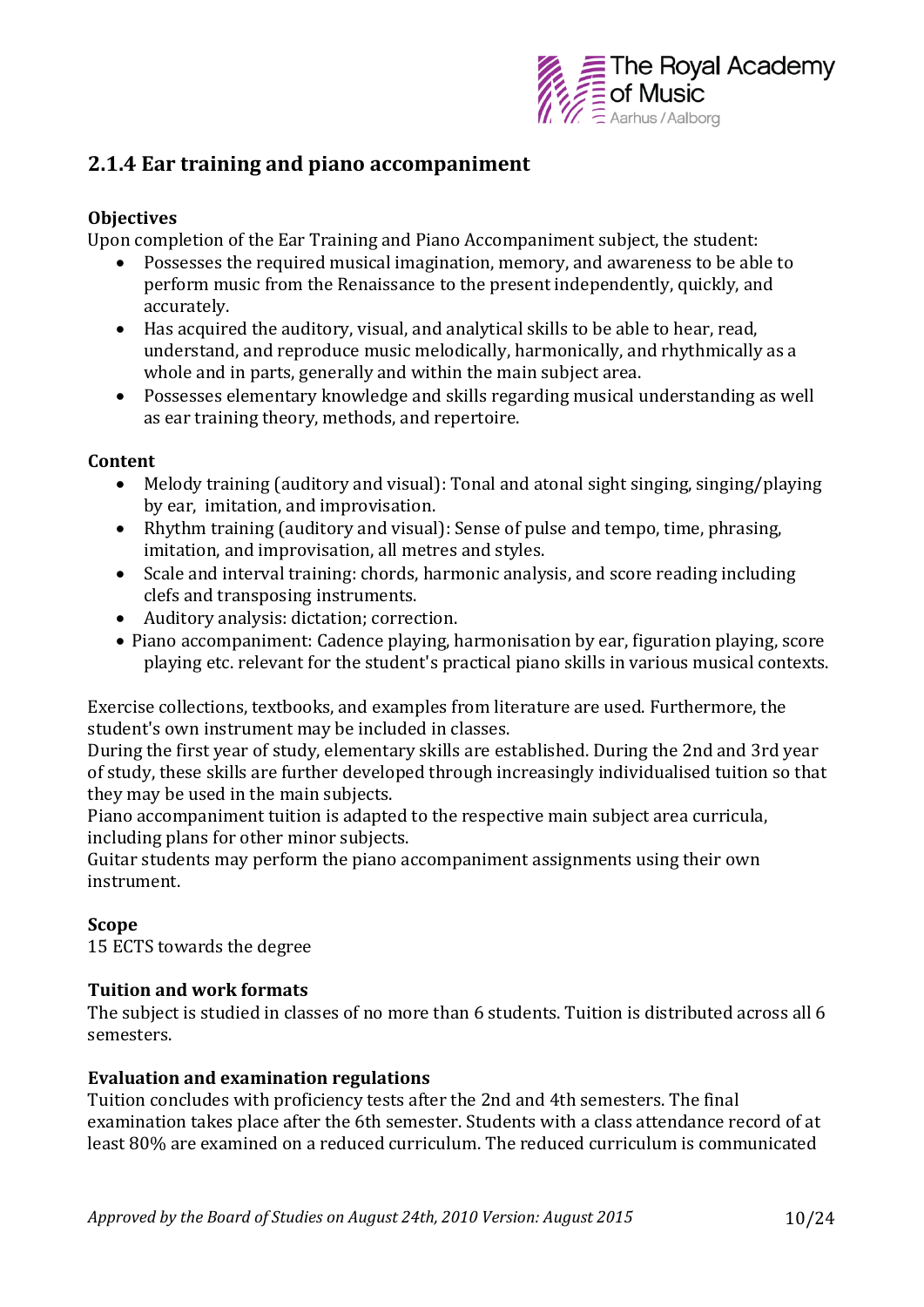

### **2.1.4 Ear training and piano accompaniment**

#### **Objectives**

Upon completion of the Ear Training and Piano Accompaniment subject, the student:

- Possesses the required musical imagination, memory, and awareness to be able to perform music from the Renaissance to the present independently, quickly, and accurately.
- Has acquired the auditory, visual, and analytical skills to be able to hear, read, understand, and reproduce music melodically, harmonically, and rhythmically as a whole and in parts, generally and within the main subject area.
- Possesses elementary knowledge and skills regarding musical understanding as well as ear training theory, methods, and repertoire.

#### **Content**

- Melody training (auditory and visual): Tonal and atonal sight singing, singing/playing by ear, imitation, and improvisation.
- Rhythm training (auditory and visual): Sense of pulse and tempo, time, phrasing, imitation, and improvisation, all metres and styles.
- Scale and interval training: chords, harmonic analysis, and score reading including clefs and transposing instruments.
- Auditory analysis: dictation; correction.
- Piano accompaniment: Cadence playing, harmonisation by ear, figuration playing, score playing etc. relevant for the student's practical piano skills in various musical contexts.

Exercise collections, textbooks, and examples from literature are used. Furthermore, the student's own instrument may be included in classes.

During the first year of study, elementary skills are established. During the 2nd and 3rd year of study, these skills are further developed through increasingly individualised tuition so that they may be used in the main subjects.

Piano accompaniment tuition is adapted to the respective main subject area curricula, including plans for other minor subjects.

Guitar students may perform the piano accompaniment assignments using their own instrument.

#### **Scope**

15 ECTS towards the degree

#### **Tuition and work formats**

The subject is studied in classes of no more than 6 students. Tuition is distributed across all 6 semesters.

#### **Evaluation and examination regulations**

Tuition concludes with proficiency tests after the 2nd and 4th semesters. The final examination takes place after the 6th semester. Students with a class attendance record of at least 80% are examined on a reduced curriculum. The reduced curriculum is communicated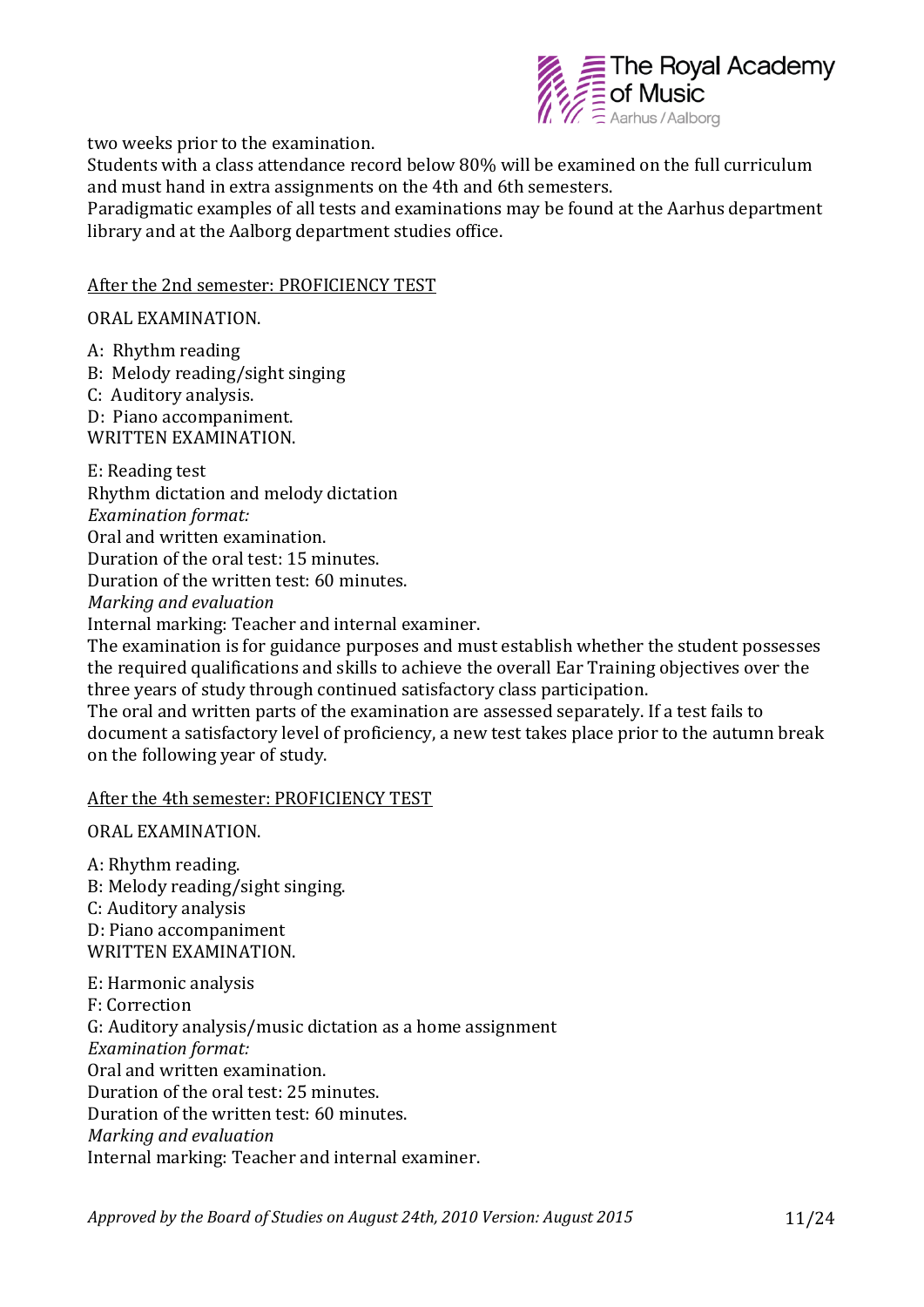

two weeks prior to the examination.

Students with a class attendance record below 80% will be examined on the full curriculum and must hand in extra assignments on the 4th and 6th semesters.

Paradigmatic examples of all tests and examinations may be found at the Aarhus department library and at the Aalborg department studies office.

#### After the 2nd semester: PROFICIENCY TEST

ORAL EXAMINATION.

A: Rhythm reading

B: Melody reading/sight singing

- C: Auditory analysis.
- D: Piano accompaniment.

WRITTEN EXAMINATION.

E: Reading test Rhythm dictation and melody dictation *Examination format:*  Oral and written examination. Duration of the oral test: 15 minutes. Duration of the written test: 60 minutes. *Marking and evaluation* Internal marking: Teacher and internal examiner. The examination is for guidance purposes and must establish whether the student possesses the required qualifications and skills to achieve the overall Ear Training objectives over the three years of study through continued satisfactory class participation. The oral and written parts of the examination are assessed separately. If a test fails to document a satisfactory level of proficiency, a new test takes place prior to the autumn break

on the following year of study.

#### After the 4th semester: PROFICIENCY TEST

ORAL EXAMINATION.

A: Rhythm reading. B: Melody reading/sight singing. C: Auditory analysis D: Piano accompaniment WRITTEN EXAMINATION.

E: Harmonic analysis F: Correction G: Auditory analysis/music dictation as a home assignment *Examination format:*  Oral and written examination. Duration of the oral test: 25 minutes. Duration of the written test: 60 minutes. *Marking and evaluation* Internal marking: Teacher and internal examiner.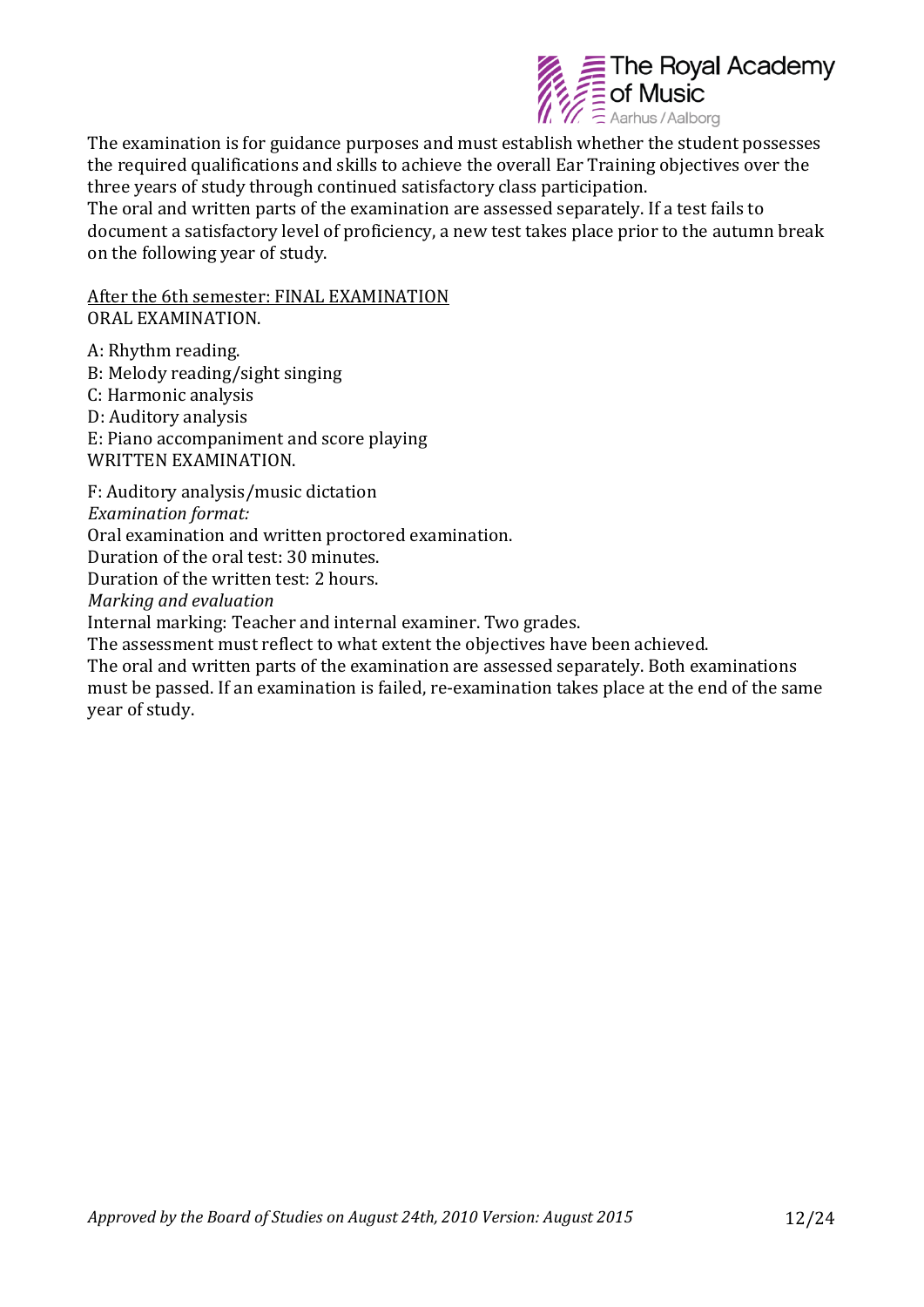

The examination is for guidance purposes and must establish whether the student possesses the required qualifications and skills to achieve the overall Ear Training objectives over the three years of study through continued satisfactory class participation. The oral and written parts of the examination are assessed separately. If a test fails to document a satisfactory level of proficiency, a new test takes place prior to the autumn break on the following year of study.

After the 6th semester: FINAL EXAMINATION ORAL EXAMINATION.

A: Rhythm reading. B: Melody reading/sight singing C: Harmonic analysis D: Auditory analysis E: Piano accompaniment and score playing WRITTEN EXAMINATION. F: Auditory analysis/music dictation *Examination format:*  Oral examination and written proctored examination. Duration of the oral test: 30 minutes. Duration of the written test: 2 hours. *Marking and evaluation*

Internal marking: Teacher and internal examiner. Two grades.

The assessment must reflect to what extent the objectives have been achieved.

The oral and written parts of the examination are assessed separately. Both examinations must be passed. If an examination is failed, re-examination takes place at the end of the same year of study.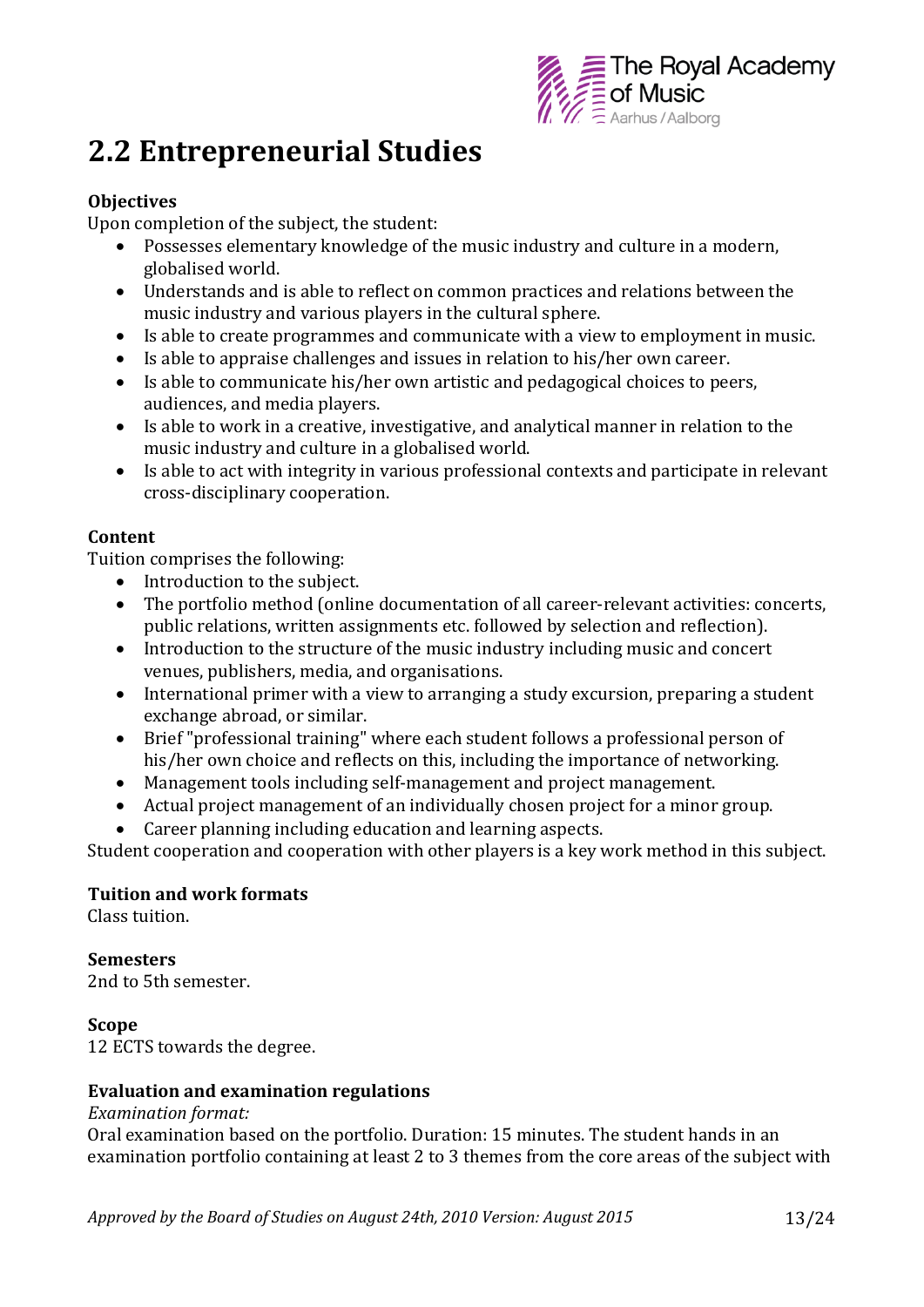

## **2.2 Entrepreneurial Studies**

#### **Objectives**

Upon completion of the subject, the student:

- Possesses elementary knowledge of the music industry and culture in a modern, globalised world.
- Understands and is able to reflect on common practices and relations between the music industry and various players in the cultural sphere.
- Is able to create programmes and communicate with a view to employment in music.
- Is able to appraise challenges and issues in relation to his/her own career.
- Is able to communicate his/her own artistic and pedagogical choices to peers, audiences, and media players.
- Is able to work in a creative, investigative, and analytical manner in relation to the music industry and culture in a globalised world.
- Is able to act with integrity in various professional contexts and participate in relevant cross-disciplinary cooperation.

#### **Content**

Tuition comprises the following:

- Introduction to the subject.
- The portfolio method (online documentation of all career-relevant activities: concerts, public relations, written assignments etc. followed by selection and reflection).
- Introduction to the structure of the music industry including music and concert venues, publishers, media, and organisations.
- International primer with a view to arranging a study excursion, preparing a student exchange abroad, or similar.
- Brief "professional training" where each student follows a professional person of his/her own choice and reflects on this, including the importance of networking.
- Management tools including self-management and project management.
- Actual project management of an individually chosen project for a minor group.
- Career planning including education and learning aspects.

Student cooperation and cooperation with other players is a key work method in this subject.

#### **Tuition and work formats**

Class tuition.

#### **Semesters**

2nd to 5th semester.

#### **Scope**

12 ECTS towards the degree.

#### **Evaluation and examination regulations**

#### *Examination format:*

Oral examination based on the portfolio. Duration: 15 minutes. The student hands in an examination portfolio containing at least 2 to 3 themes from the core areas of the subject with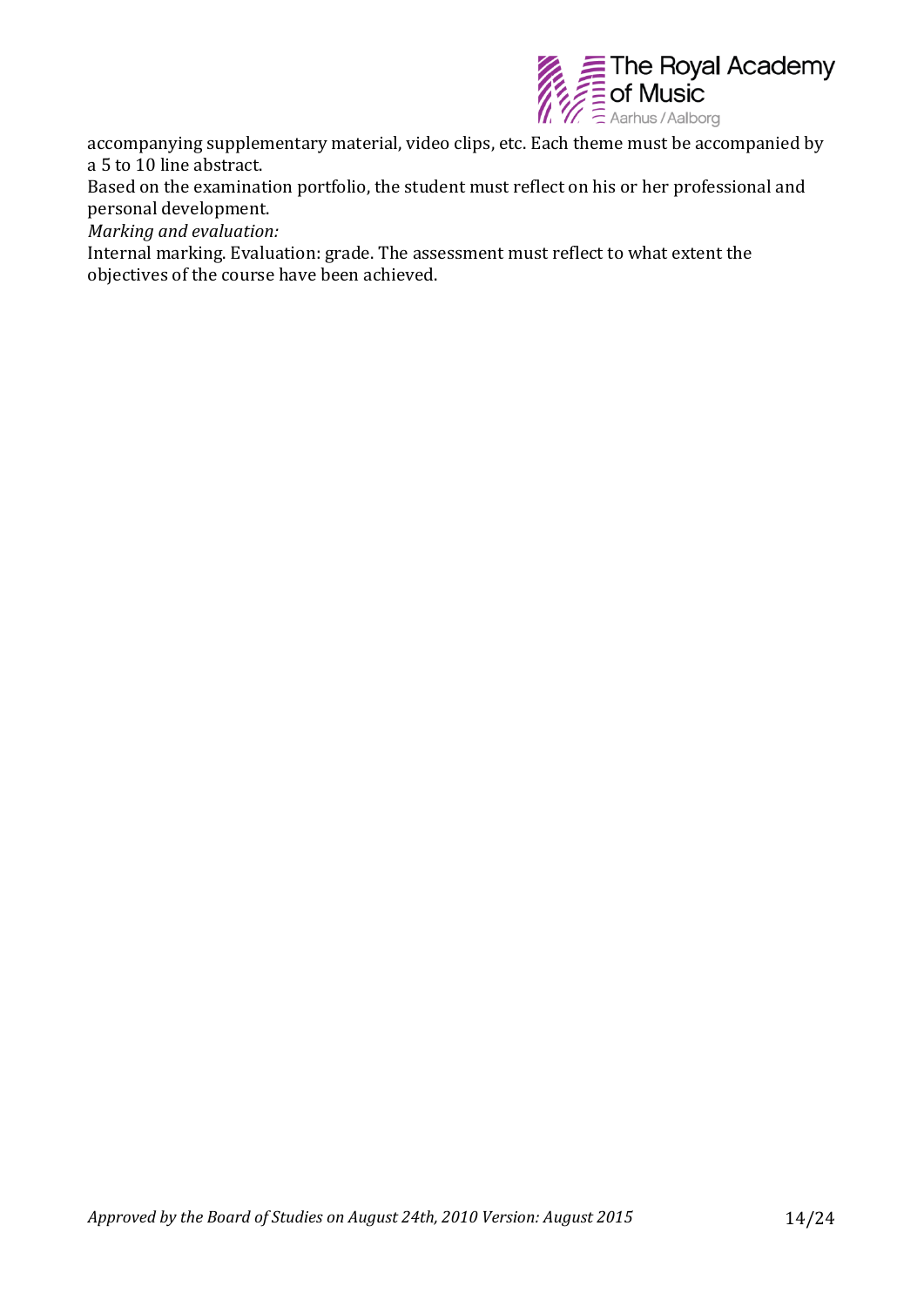

accompanying supplementary material, video clips, etc. Each theme must be accompanied by a 5 to 10 line abstract.

Based on the examination portfolio, the student must reflect on his or her professional and personal development.

*Marking and evaluation:*

Internal marking. Evaluation: grade. The assessment must reflect to what extent the objectives of the course have been achieved.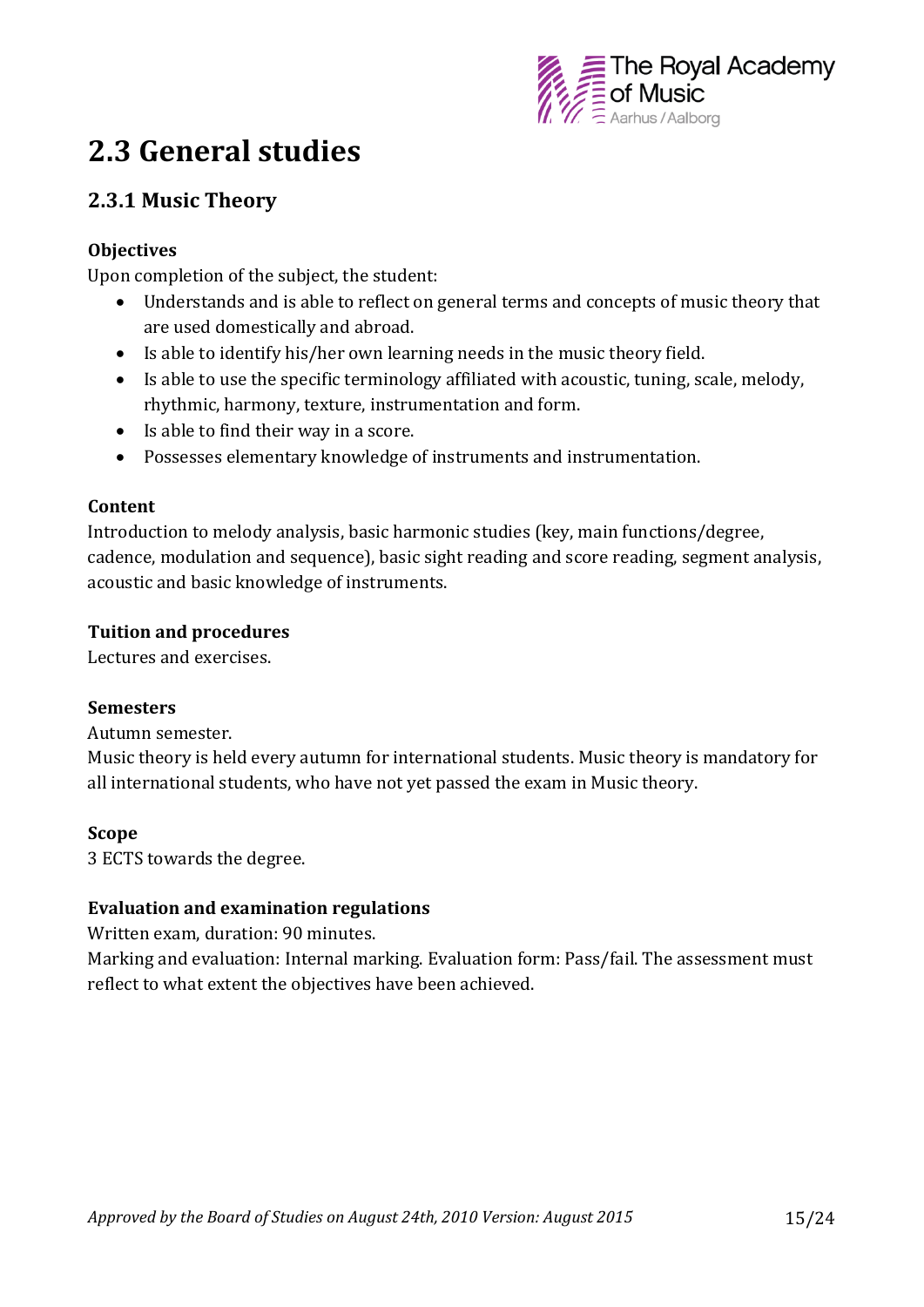

## **2.3 General studies**

### **2.3.1 Music Theory**

#### **Objectives**

Upon completion of the subject, the student:

- Understands and is able to reflect on general terms and concepts of music theory that are used domestically and abroad.
- Is able to identify his/her own learning needs in the music theory field.
- Is able to use the specific terminology affiliated with acoustic, tuning, scale, melody, rhythmic, harmony, texture, instrumentation and form.
- Is able to find their way in a score.
- Possesses elementary knowledge of instruments and instrumentation.

#### **Content**

Introduction to melody analysis, basic harmonic studies (key, main functions/degree, cadence, modulation and sequence), basic sight reading and score reading, segment analysis, acoustic and basic knowledge of instruments.

#### **Tuition and procedures**

Lectures and exercises.

#### **Semesters**

Autumn semester.

Music theory is held every autumn for international students. Music theory is mandatory for all international students, who have not yet passed the exam in Music theory.

#### **Scope**

3 ECTS towards the degree.

#### **Evaluation and examination regulations**

Written exam, duration: 90 minutes.

Marking and evaluation: Internal marking. Evaluation form: Pass/fail. The assessment must reflect to what extent the objectives have been achieved.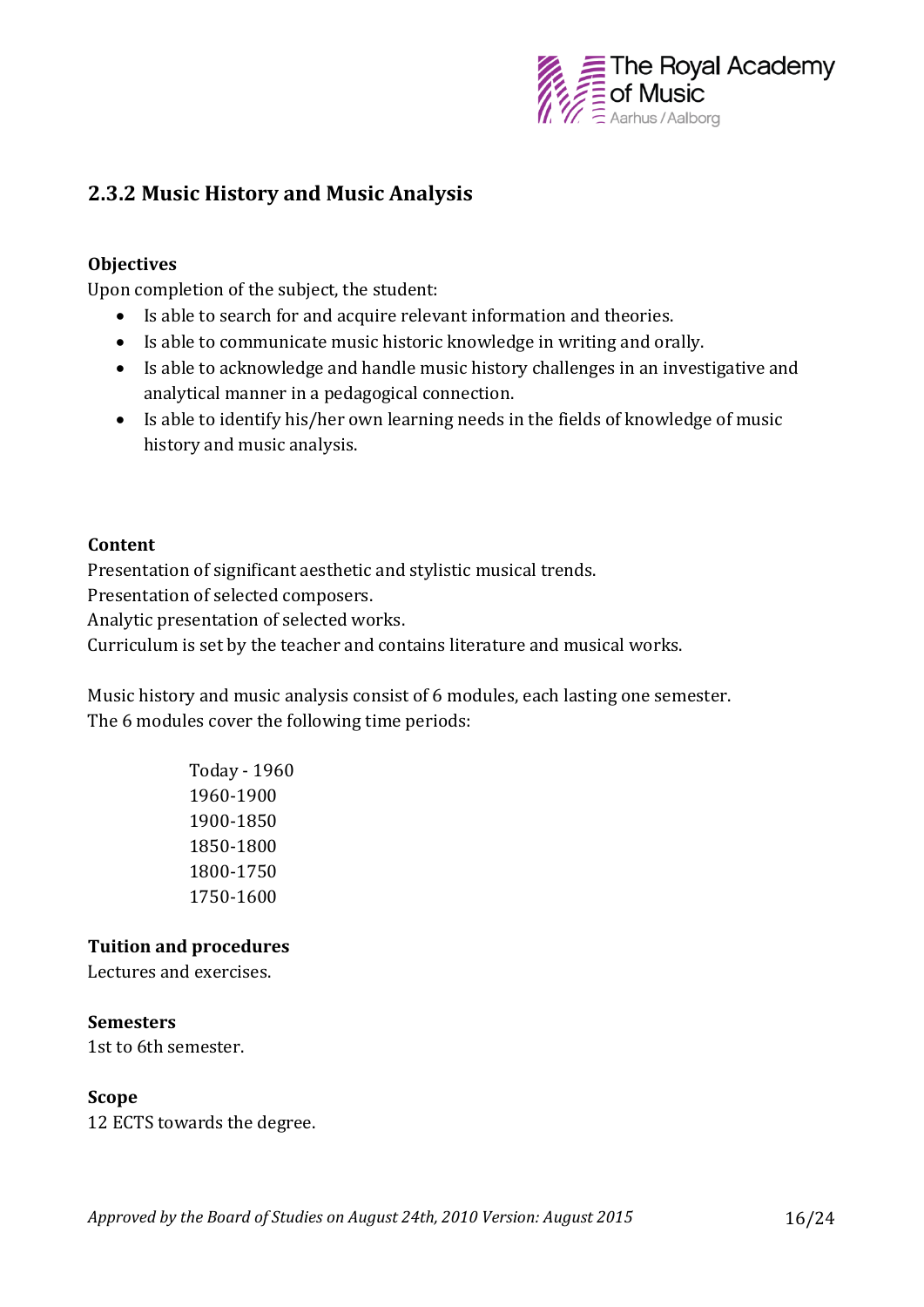

## **2.3.2 Music History and Music Analysis**

#### **Objectives**

Upon completion of the subject, the student:

- Is able to search for and acquire relevant information and theories.
- Is able to communicate music historic knowledge in writing and orally.
- Is able to acknowledge and handle music history challenges in an investigative and analytical manner in a pedagogical connection.
- Is able to identify his/her own learning needs in the fields of knowledge of music history and music analysis.

#### **Content**

Presentation of significant aesthetic and stylistic musical trends.

Presentation of selected composers.

Analytic presentation of selected works.

Curriculum is set by the teacher and contains literature and musical works.

Music history and music analysis consist of 6 modules, each lasting one semester. The 6 modules cover the following time periods:

> Today - 1960 1960-1900 1900-1850 1850-1800 1800-1750 1750-1600

#### **Tuition and procedures**

Lectures and exercises.

#### **Semesters**

1st to 6th semester.

#### **Scope**

12 ECTS towards the degree.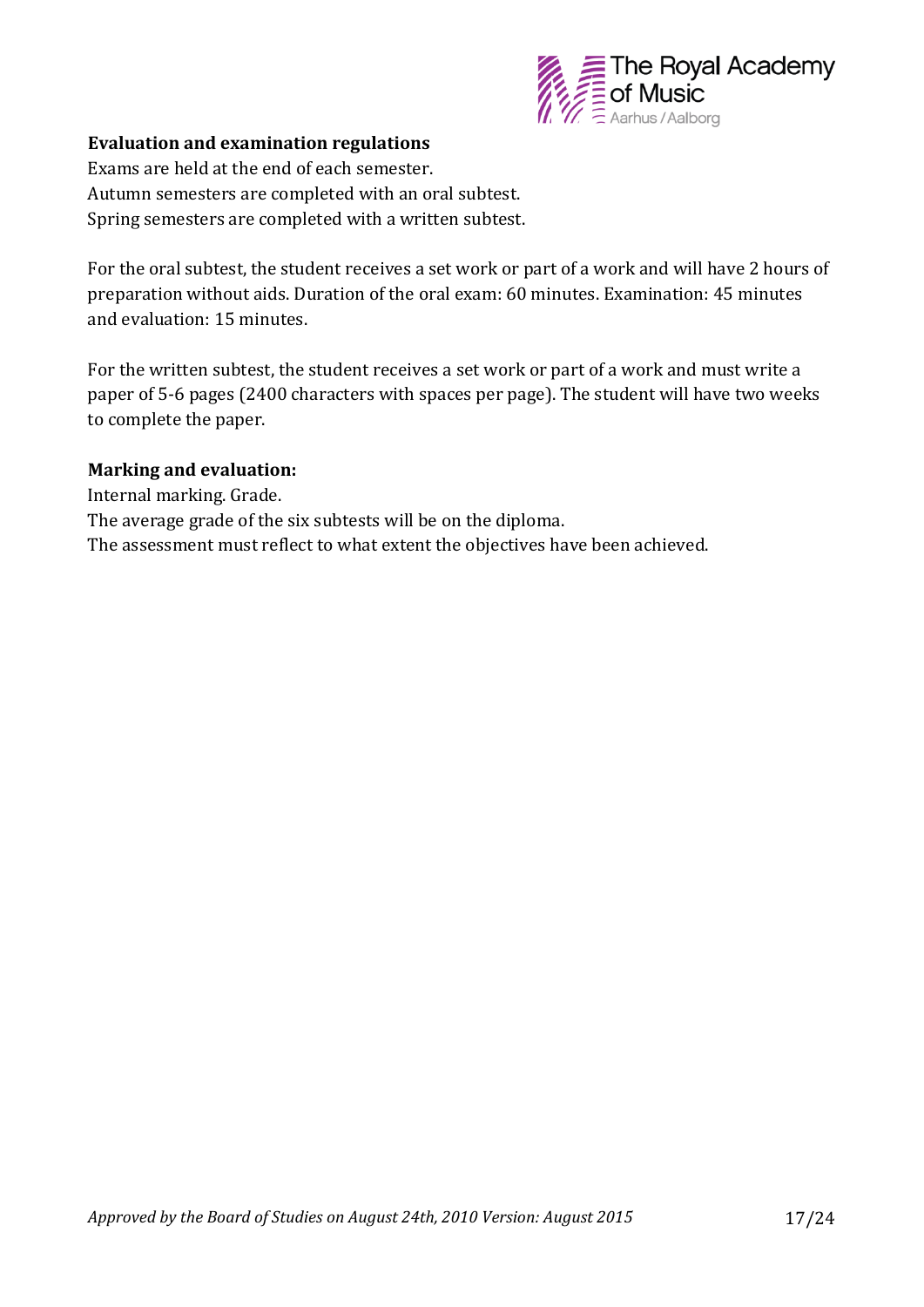

#### **Evaluation and examination regulations**

Exams are held at the end of each semester. Autumn semesters are completed with an oral subtest. Spring semesters are completed with a written subtest.

For the oral subtest, the student receives a set work or part of a work and will have 2 hours of preparation without aids. Duration of the oral exam: 60 minutes. Examination: 45 minutes and evaluation: 15 minutes.

For the written subtest, the student receives a set work or part of a work and must write a paper of 5-6 pages (2400 characters with spaces per page). The student will have two weeks to complete the paper.

#### **Marking and evaluation:**

Internal marking. Grade. The average grade of the six subtests will be on the diploma. The assessment must reflect to what extent the objectives have been achieved.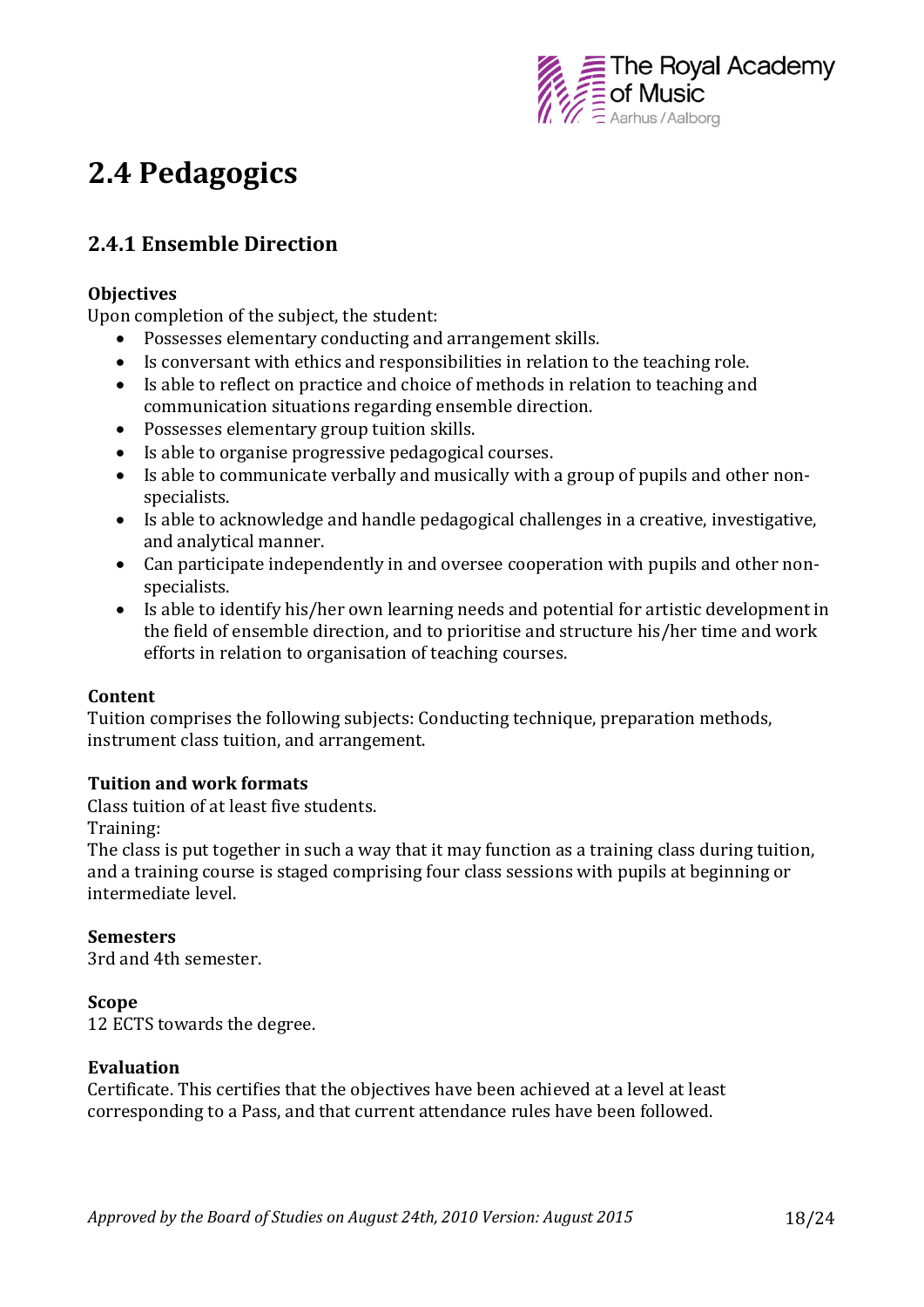

## **2.4 Pedagogics**

## **2.4.1 Ensemble Direction**

#### **Objectives**

Upon completion of the subject, the student:

- Possesses elementary conducting and arrangement skills.
- Is conversant with ethics and responsibilities in relation to the teaching role.
- Is able to reflect on practice and choice of methods in relation to teaching and communication situations regarding ensemble direction.
- Possesses elementary group tuition skills.
- Is able to organise progressive pedagogical courses.
- Is able to communicate verbally and musically with a group of pupils and other nonspecialists.
- Is able to acknowledge and handle pedagogical challenges in a creative, investigative, and analytical manner.
- Can participate independently in and oversee cooperation with pupils and other nonspecialists.
- Is able to identify his/her own learning needs and potential for artistic development in the field of ensemble direction, and to prioritise and structure his/her time and work efforts in relation to organisation of teaching courses.

#### **Content**

Tuition comprises the following subjects: Conducting technique, preparation methods, instrument class tuition, and arrangement.

#### **Tuition and work formats**

Class tuition of at least five students.

Training:

The class is put together in such a way that it may function as a training class during tuition, and a training course is staged comprising four class sessions with pupils at beginning or intermediate level.

#### **Semesters**

3rd and 4th semester.

#### **Scope**

12 ECTS towards the degree.

#### **Evaluation**

Certificate. This certifies that the objectives have been achieved at a level at least corresponding to a Pass, and that current attendance rules have been followed.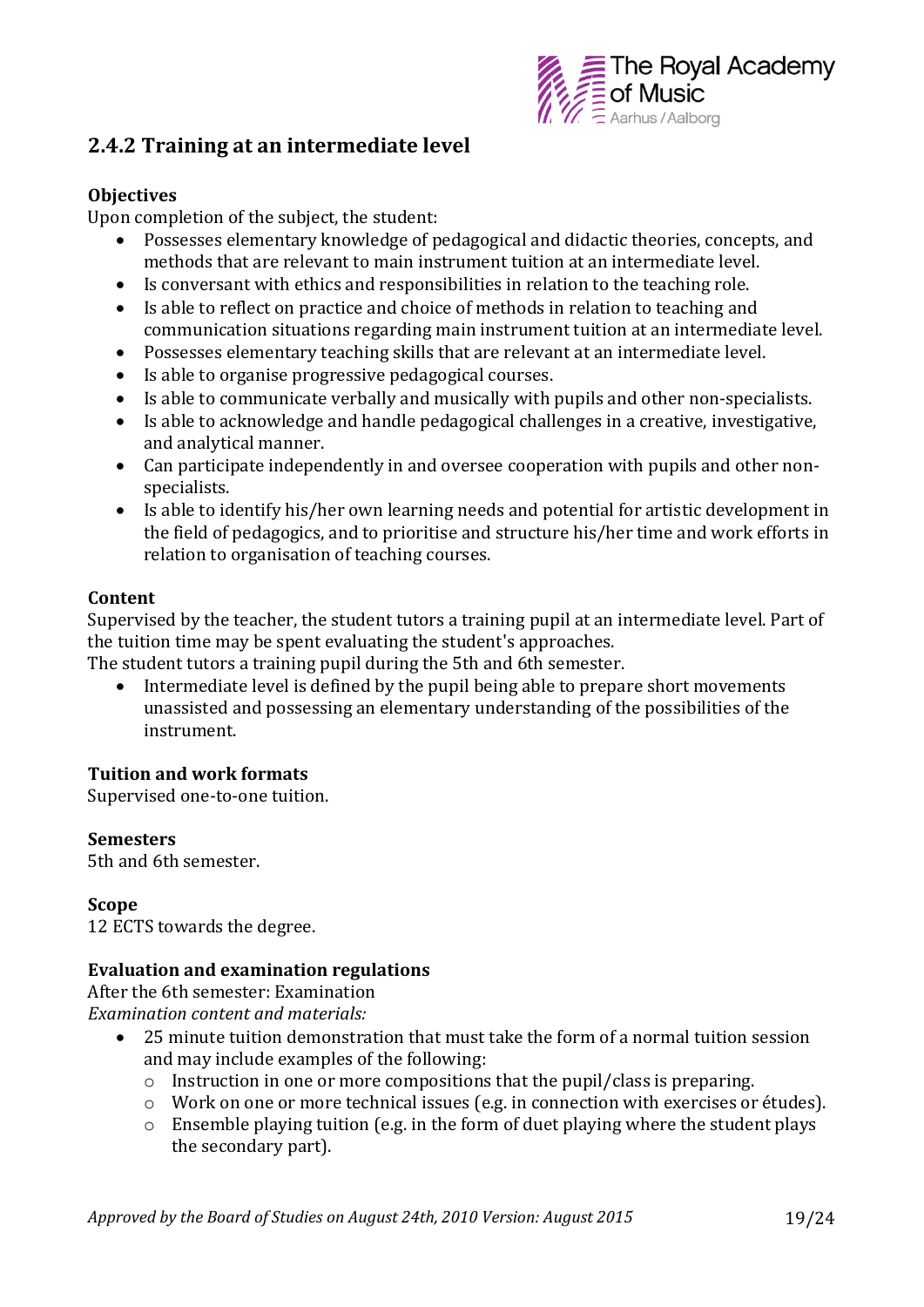

### **2.4.2 Training at an intermediate level**

#### **Objectives**

Upon completion of the subject, the student:

- Possesses elementary knowledge of pedagogical and didactic theories, concepts, and methods that are relevant to main instrument tuition at an intermediate level.
- Is conversant with ethics and responsibilities in relation to the teaching role.
- Is able to reflect on practice and choice of methods in relation to teaching and communication situations regarding main instrument tuition at an intermediate level.
- Possesses elementary teaching skills that are relevant at an intermediate level.
- Is able to organise progressive pedagogical courses.
- Is able to communicate verbally and musically with pupils and other non-specialists.
- Is able to acknowledge and handle pedagogical challenges in a creative, investigative, and analytical manner.
- Can participate independently in and oversee cooperation with pupils and other nonspecialists.
- Is able to identify his/her own learning needs and potential for artistic development in the field of pedagogics, and to prioritise and structure his/her time and work efforts in relation to organisation of teaching courses.

#### **Content**

Supervised by the teacher, the student tutors a training pupil at an intermediate level. Part of the tuition time may be spent evaluating the student's approaches.

The student tutors a training pupil during the 5th and 6th semester.

• Intermediate level is defined by the pupil being able to prepare short movements unassisted and possessing an elementary understanding of the possibilities of the instrument.

#### **Tuition and work formats**

Supervised one-to-one tuition.

#### **Semesters**

5th and 6th semester.

#### **Scope**

12 ECTS towards the degree.

#### **Evaluation and examination regulations**

After the 6th semester: Examination *Examination content and materials:*

- 25 minute tuition demonstration that must take the form of a normal tuition session and may include examples of the following:
	- o Instruction in one or more compositions that the pupil/class is preparing.
	- o Work on one or more technical issues (e.g. in connection with exercises or études).
	- o Ensemble playing tuition (e.g. in the form of duet playing where the student plays the secondary part).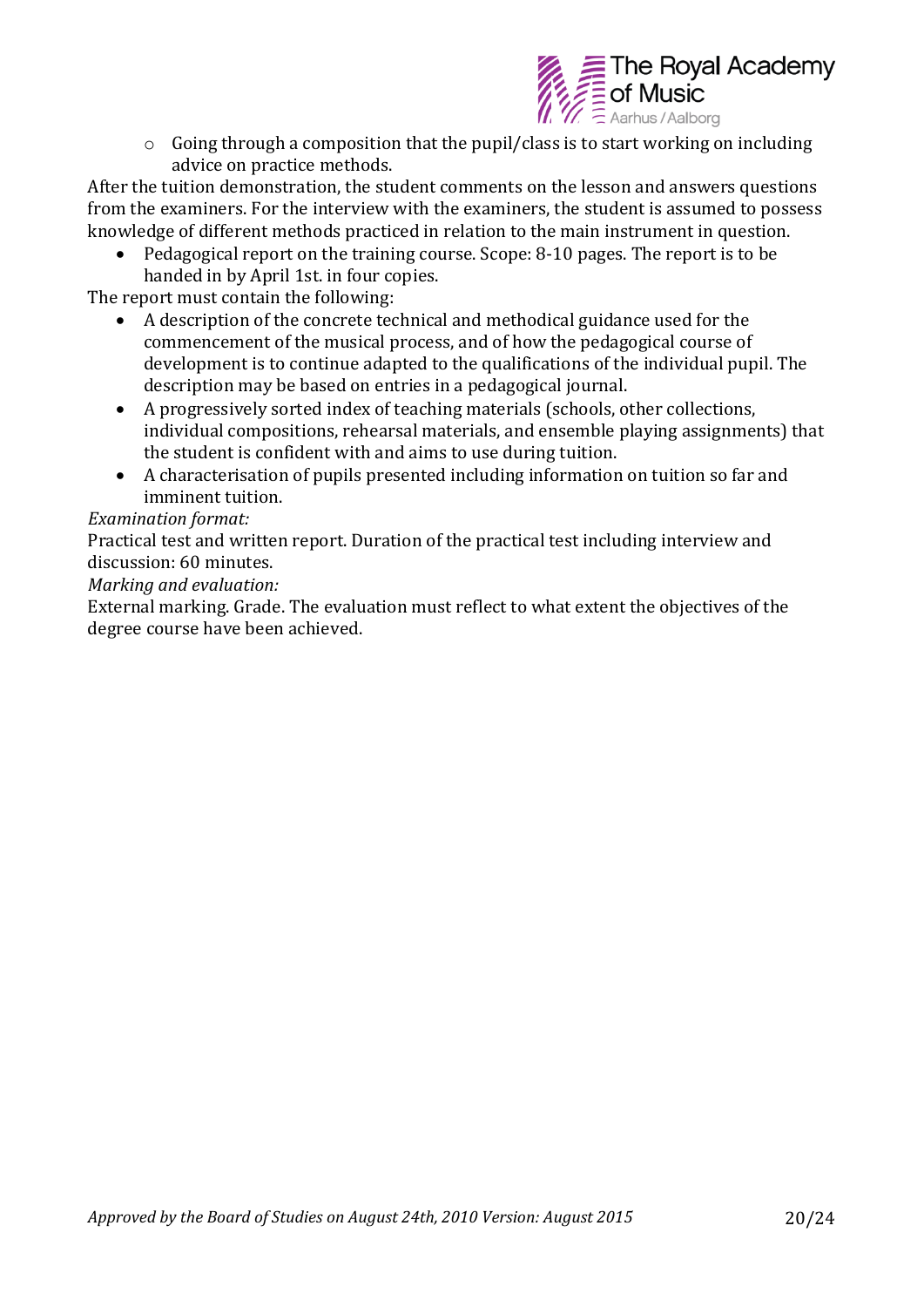

o Going through a composition that the pupil/class is to start working on including advice on practice methods.

After the tuition demonstration, the student comments on the lesson and answers questions from the examiners. For the interview with the examiners, the student is assumed to possess knowledge of different methods practiced in relation to the main instrument in question.

 Pedagogical report on the training course. Scope: 8-10 pages. The report is to be handed in by April 1st. in four copies.

The report must contain the following:

- A description of the concrete technical and methodical guidance used for the commencement of the musical process, and of how the pedagogical course of development is to continue adapted to the qualifications of the individual pupil. The description may be based on entries in a pedagogical journal.
- A progressively sorted index of teaching materials (schools, other collections, individual compositions, rehearsal materials, and ensemble playing assignments) that the student is confident with and aims to use during tuition.
- A characterisation of pupils presented including information on tuition so far and imminent tuition.

#### *Examination format:*

Practical test and written report. Duration of the practical test including interview and discussion: 60 minutes.

*Marking and evaluation:*

External marking. Grade. The evaluation must reflect to what extent the objectives of the degree course have been achieved.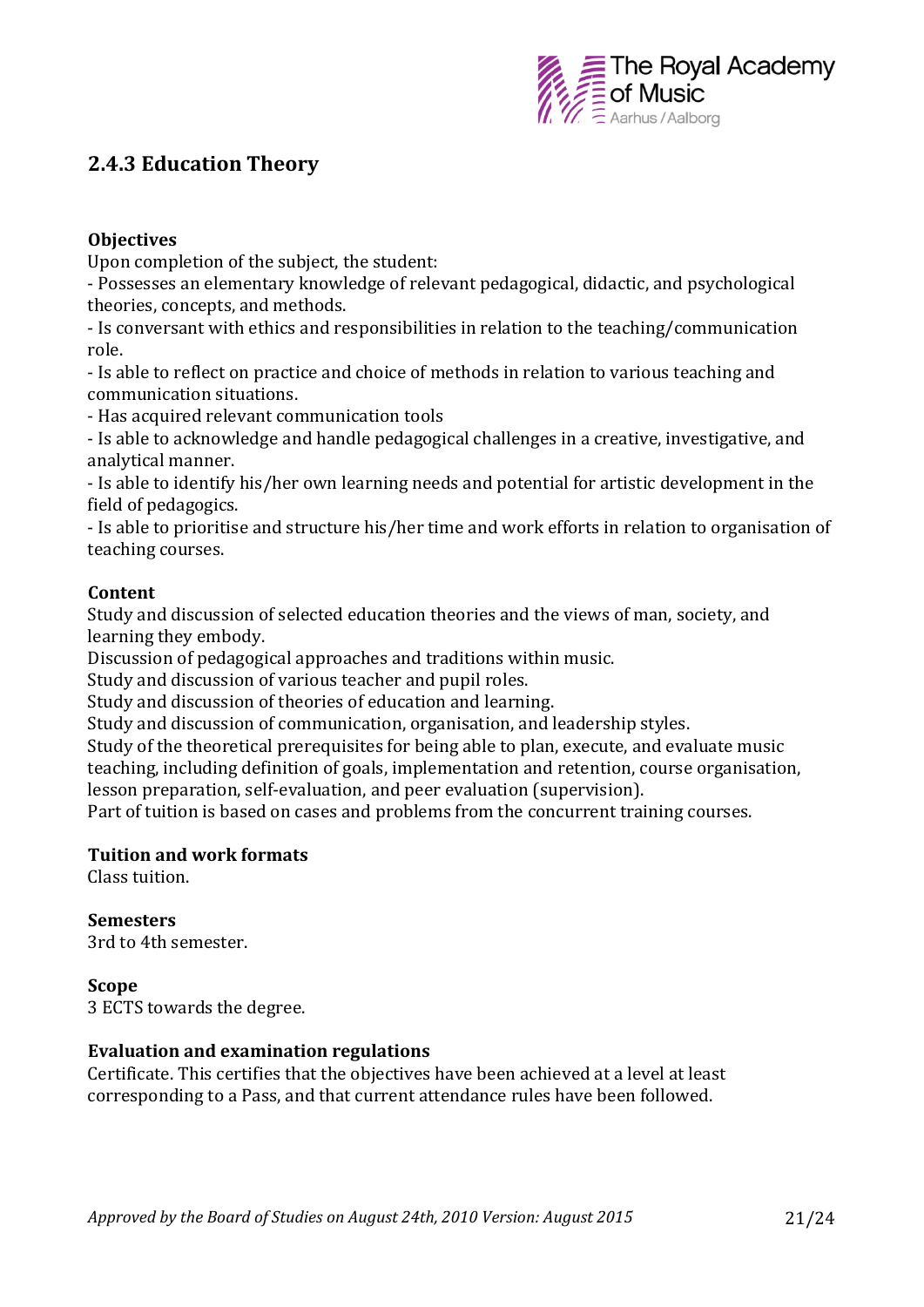

### **2.4.3 Education Theory**

#### **Objectives**

Upon completion of the subject, the student:

- Possesses an elementary knowledge of relevant pedagogical, didactic, and psychological theories, concepts, and methods.

- Is conversant with ethics and responsibilities in relation to the teaching/communication role.

- Is able to reflect on practice and choice of methods in relation to various teaching and communication situations.

- Has acquired relevant communication tools

- Is able to acknowledge and handle pedagogical challenges in a creative, investigative, and analytical manner.

- Is able to identify his/her own learning needs and potential for artistic development in the field of pedagogics.

- Is able to prioritise and structure his/her time and work efforts in relation to organisation of teaching courses.

#### **Content**

Study and discussion of selected education theories and the views of man, society, and learning they embody.

Discussion of pedagogical approaches and traditions within music.

Study and discussion of various teacher and pupil roles.

Study and discussion of theories of education and learning.

Study and discussion of communication, organisation, and leadership styles.

Study of the theoretical prerequisites for being able to plan, execute, and evaluate music teaching, including definition of goals, implementation and retention, course organisation, lesson preparation, self-evaluation, and peer evaluation (supervision).

Part of tuition is based on cases and problems from the concurrent training courses.

#### **Tuition and work formats**

Class tuition.

#### **Semesters**

3rd to 4th semester.

#### **Scope**

3 ECTS towards the degree.

#### **Evaluation and examination regulations**

Certificate. This certifies that the objectives have been achieved at a level at least corresponding to a Pass, and that current attendance rules have been followed.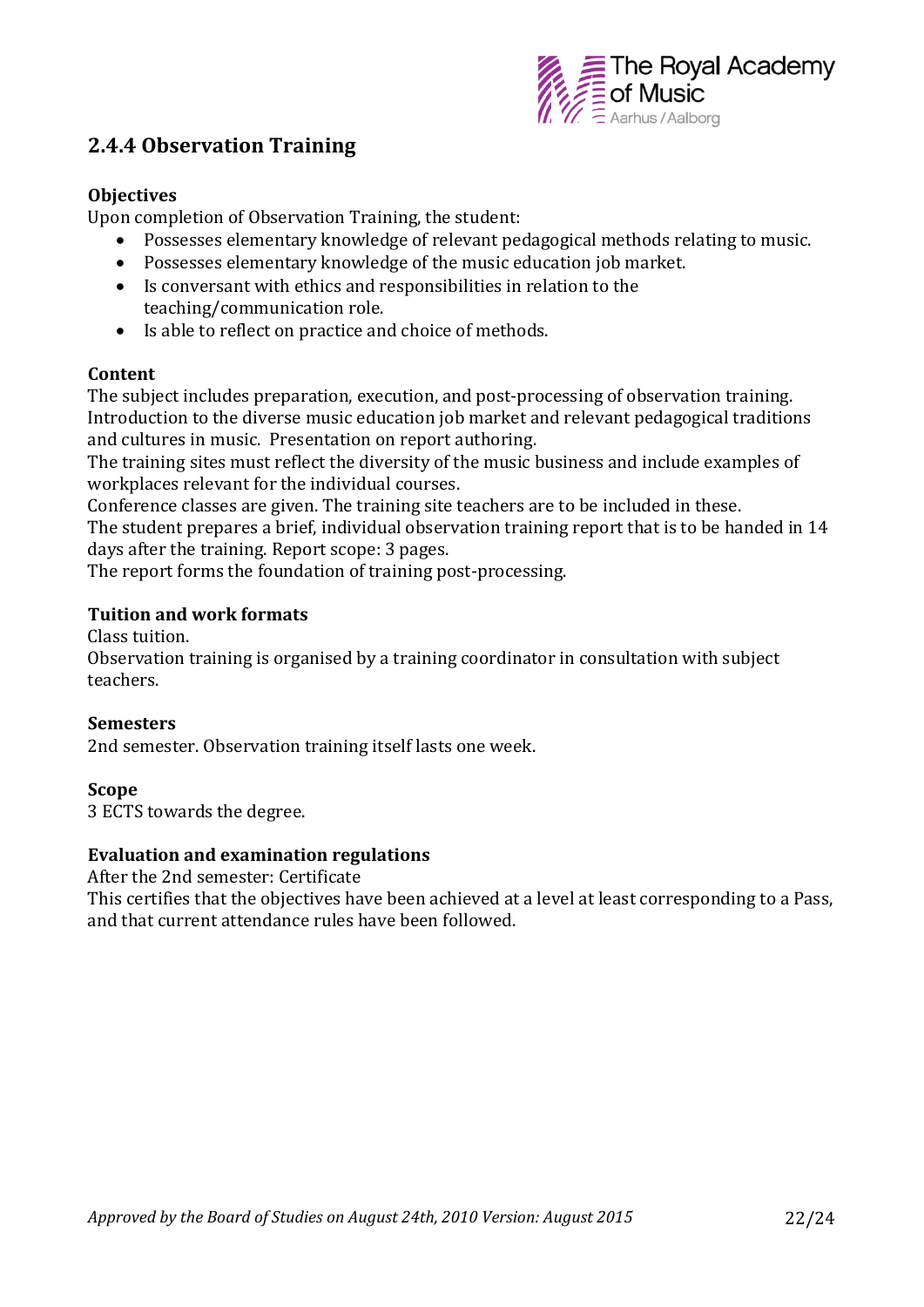

### **2.4.4 Observation Training**

#### **Objectives**

Upon completion of Observation Training, the student:

- Possesses elementary knowledge of relevant pedagogical methods relating to music.
- Possesses elementary knowledge of the music education job market.
- Is conversant with ethics and responsibilities in relation to the teaching/communication role.
- Is able to reflect on practice and choice of methods.

#### **Content**

The subject includes preparation, execution, and post-processing of observation training. Introduction to the diverse music education job market and relevant pedagogical traditions and cultures in music. Presentation on report authoring.

The training sites must reflect the diversity of the music business and include examples of workplaces relevant for the individual courses.

Conference classes are given. The training site teachers are to be included in these. The student prepares a brief, individual observation training report that is to be handed in 14 days after the training. Report scope: 3 pages.

The report forms the foundation of training post-processing.

#### **Tuition and work formats**

Class tuition.

Observation training is organised by a training coordinator in consultation with subject teachers.

#### **Semesters**

2nd semester. Observation training itself lasts one week.

#### **Scope**

3 ECTS towards the degree.

#### **Evaluation and examination regulations**

After the 2nd semester: Certificate

This certifies that the objectives have been achieved at a level at least corresponding to a Pass, and that current attendance rules have been followed.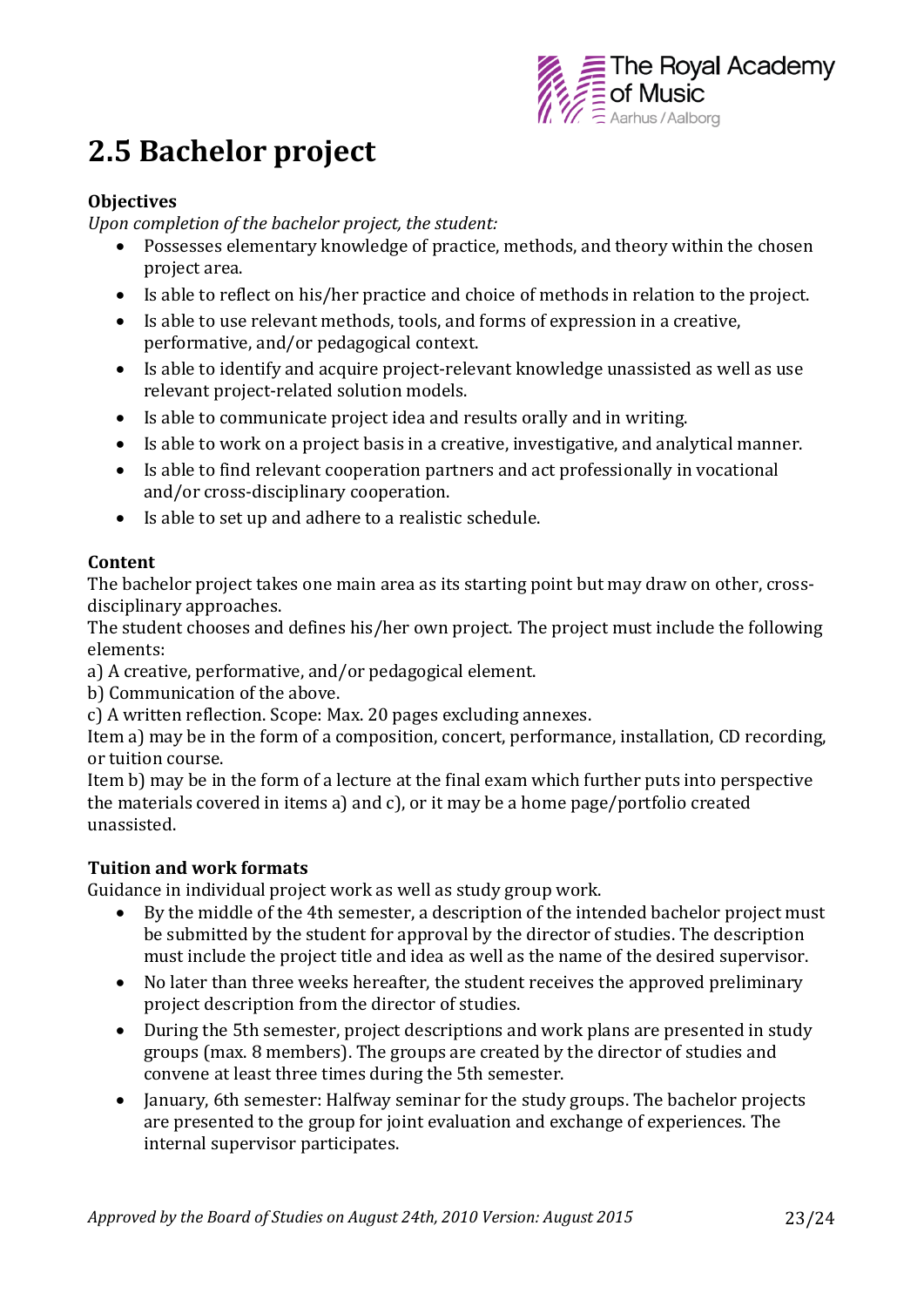

## **2.5 Bachelor project**

#### **Objectives**

*Upon completion of the bachelor project, the student:* 

- Possesses elementary knowledge of practice, methods, and theory within the chosen project area.
- Is able to reflect on his/her practice and choice of methods in relation to the project.
- Is able to use relevant methods, tools, and forms of expression in a creative, performative, and/or pedagogical context.
- Is able to identify and acquire project-relevant knowledge unassisted as well as use relevant project-related solution models.
- Is able to communicate project idea and results orally and in writing.
- Is able to work on a project basis in a creative, investigative, and analytical manner.
- Is able to find relevant cooperation partners and act professionally in vocational and/or cross-disciplinary cooperation.
- Is able to set up and adhere to a realistic schedule.

#### **Content**

The bachelor project takes one main area as its starting point but may draw on other, crossdisciplinary approaches.

The student chooses and defines his/her own project. The project must include the following elements:

a) A creative, performative, and/or pedagogical element.

b) Communication of the above.

c) A written reflection. Scope: Max. 20 pages excluding annexes.

Item a) may be in the form of a composition, concert, performance, installation, CD recording, or tuition course.

Item b) may be in the form of a lecture at the final exam which further puts into perspective the materials covered in items a) and c), or it may be a home page/portfolio created unassisted.

#### **Tuition and work formats**

Guidance in individual project work as well as study group work.

- By the middle of the 4th semester, a description of the intended bachelor project must be submitted by the student for approval by the director of studies. The description must include the project title and idea as well as the name of the desired supervisor.
- No later than three weeks hereafter, the student receives the approved preliminary project description from the director of studies.
- During the 5th semester, project descriptions and work plans are presented in study groups (max. 8 members). The groups are created by the director of studies and convene at least three times during the 5th semester.
- January, 6th semester: Halfway seminar for the study groups. The bachelor projects are presented to the group for joint evaluation and exchange of experiences. The internal supervisor participates.